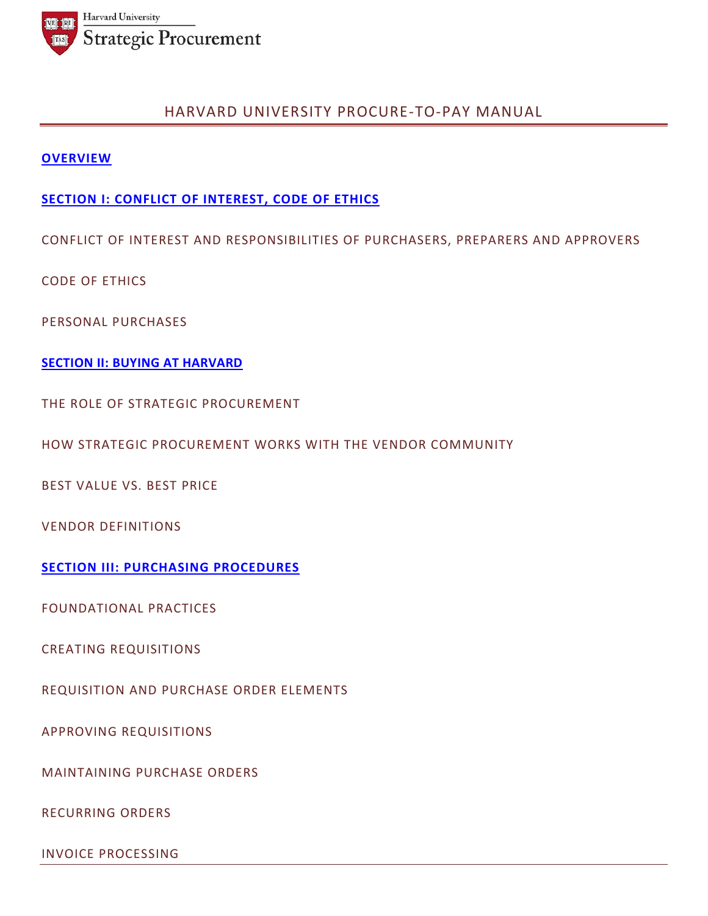

# HARVARD UNIVERSITY PROCURE-TO-PAY MANUAL

## **OVERVIEW**

# **SECTION I: CONFLICT OF INTEREST, CODE OF ETHICS**

CONFLICT OF INTEREST AND RESPONSIBILITIES OF PURCHASERS, PREPARERS AND APPROVERS

CODE OF ETHICS

PERSONAL PURCHASES

**SECTION II: BUYING AT HARVARD**

THE ROLE OF STRATEGIC PROCUREMENT

HOW STRATEGIC PROCUREMENT WORKS WITH THE VENDOR COMMUNITY

BEST VALUE VS. BEST PRICE

VENDOR DEFINITIONS

**SECTION III: PURCHASING PROCEDURES** 

FOUNDATIONAL PRACTICES

CREATING REQUISITIONS

REQUISITION AND PURCHASE ORDER ELEMENTS

APPROVING REQUISITIONS

MAINTAINING PURCHASE ORDERS

RECURRING ORDERS

INVOICE PROCESSING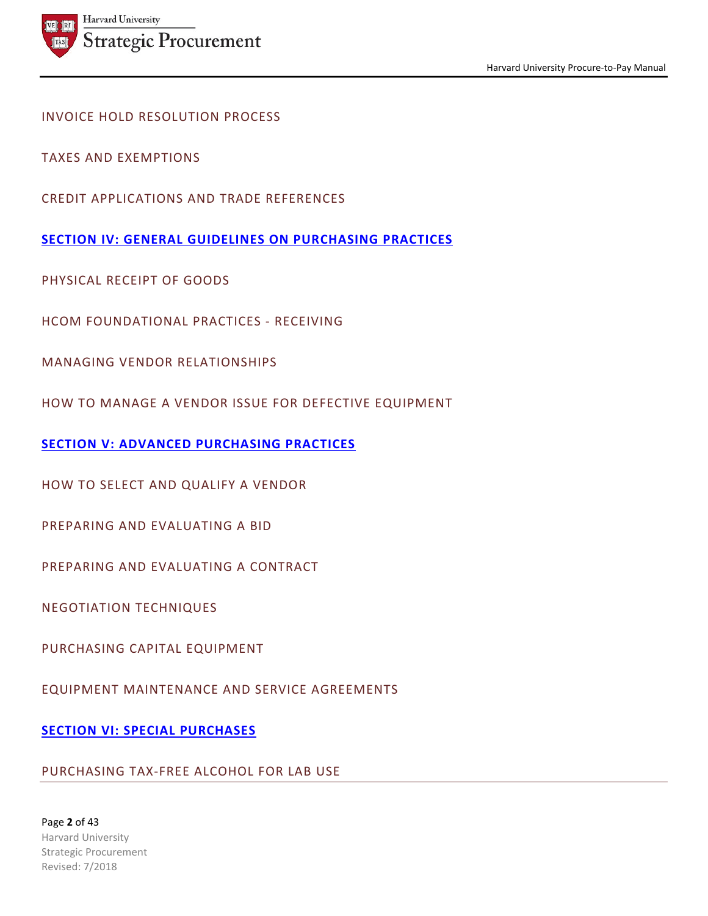

# INVOICE HOLD RESOLUTION PROCESS

TAXES AND EXEMPTIONS

CREDIT APPLICATIONS AND TRADE REFERENCES

**SECTION IV: GENERAL GUIDELINES ON PURCHASING PRACTICES**

PHYSICAL RECEIPT OF GOODS

HCOM FOUNDATIONAL PRACTICES - RECEIVING

MANAGING VENDOR RELATIONSHIPS

HOW TO MANAGE A VENDOR ISSUE FOR DEFECTIVE EQUIPMENT

**SECTION V: ADVANCED PURCHASING PRACTICES**

HOW TO SELECT AND QUALIFY A VENDOR

PREPARING AND EVALUATING A BID

PREPARING AND EVALUATING A CONTRACT

NEGOTIATION TECHNIQUES

PURCHASING CAPITAL EQUIPMENT

EQUIPMENT MAINTENANCE AND SERVICE AGREEMENTS

# **SECTION VI: SPECIAL PURCHASES**

## PURCHASING TAX-FREE ALCOHOL FOR LAB USE

Page **2** of 43 Harvard University Strategic Procurement Revised: 7/2018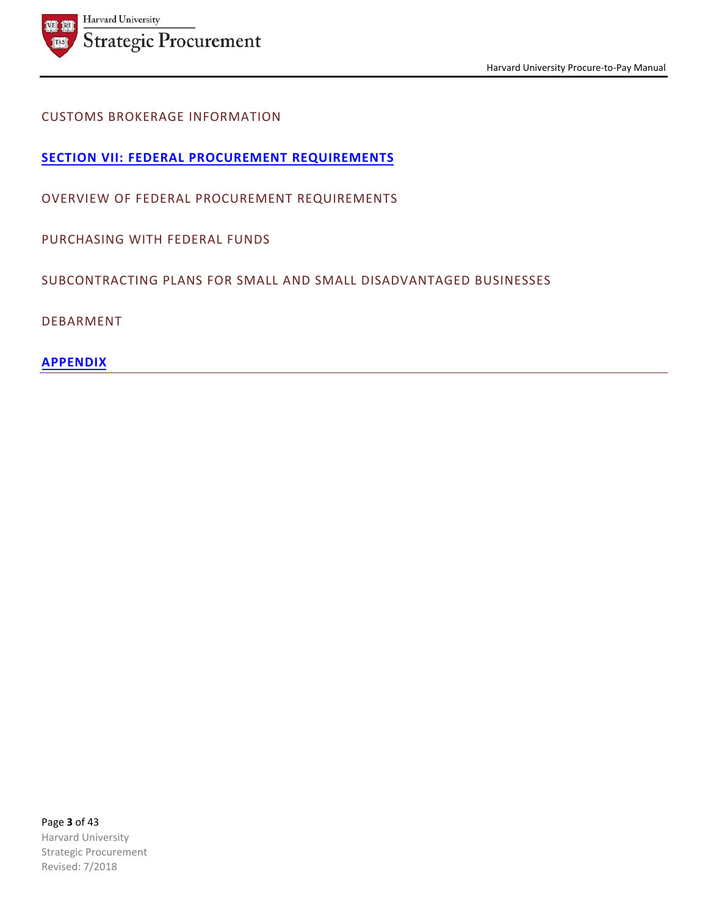

# CUSTOMS BROKERAGE INFORMATION

**SECTION VII: FEDERAL PROCUREMENT REQUIREMENTS**

OVERVIEW OF FEDERAL PROCUREMENT REQUIREMENTS

PURCHASING WITH FEDERAL FUNDS

SUBCONTRACTING PLANS FOR SMALL AND SMALL DISADVANTAGED BUSINESSES

DEBARMENT

**APPENDIX**

Page **3** of 43 Harvard University Strategic Procurement Revised: 7/2018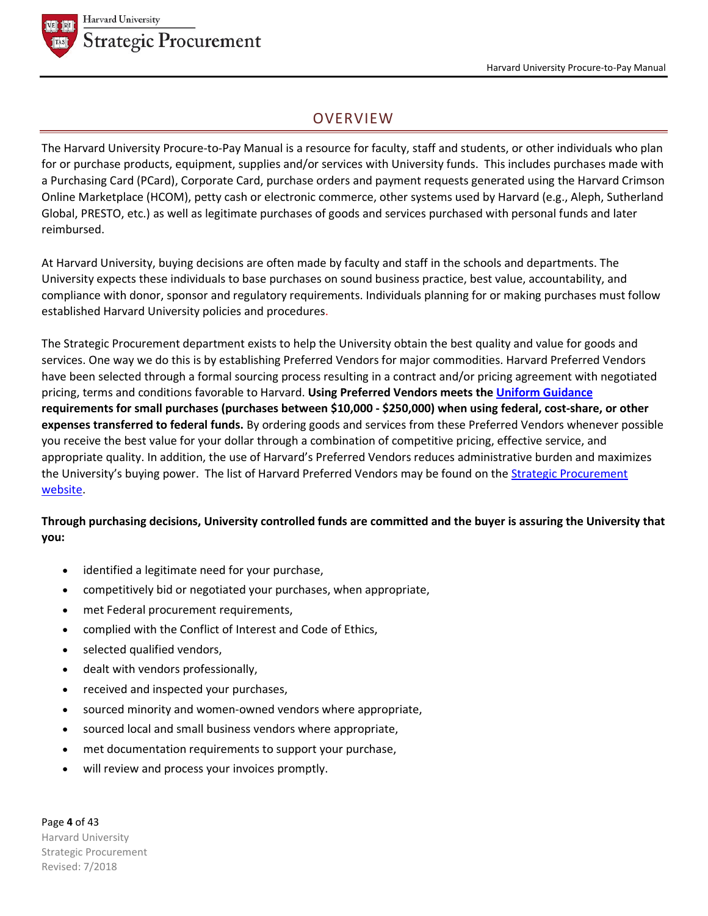

# **OVERVIEW**

The Harvard University Procure-to-Pay Manual is a resource for faculty, staff and students, or other individuals who plan for or purchase products, equipment, supplies and/or services with University funds. This includes purchases made with a Purchasing Card (PCard), Corporate Card, purchase orders and payment requests generated using the Harvard Crimson Online Marketplace (HCOM), petty cash or electronic commerce, other systems used by Harvard (e.g., Aleph, Sutherland Global, PRESTO, etc.) as well as legitimate purchases of goods and services purchased with personal funds and later reimbursed.

At Harvard University, buying decisions are often made by faculty and staff in the schools and departments. The University expects these individuals to base purchases on sound business practice, best value, accountability, and compliance with donor, sponsor and regulatory requirements. Individuals planning for or making purchases must follow established Harvard University policies and procedures.

The Strategic Procurement department exists to help the University obtain the best quality and value for goods and services. One way we do this is by establishing Preferred Vendors for major commodities. Harvard Preferred Vendors have been selected through a formal sourcing process resulting in a contract and/or pricing agreement with negotiated pricing, terms and conditions favorable to Harvard. **Using Preferred Vendors meets the Uniform Guidance requirements for small purchases (purchases between \$10,000 - \$250,000) when using federal, cost-share, or other expenses transferred to federal funds.** By ordering goods and services from these Preferred Vendors whenever possible you receive the best value for your dollar through a combination of competitive pricing, effective service, and appropriate quality. In addition, the use of Harvard's Preferred Vendors reduces administrative burden and maximizes the University's buying power. The list of Harvard Preferred Vendors may be found on the **Strategic Procurement** website.

**Through purchasing decisions, University controlled funds are committed and the buyer is assuring the University that you:**

- identified a legitimate need for your purchase,
- competitively bid or negotiated your purchases, when appropriate,
- met Federal procurement requirements,
- complied with the Conflict of Interest and Code of Ethics,
- selected qualified vendors,
- dealt with vendors professionally,
- received and inspected your purchases,
- sourced minority and women-owned vendors where appropriate,
- sourced local and small business vendors where appropriate,
- met documentation requirements to support your purchase,
- will review and process your invoices promptly.

Page **4** of 43 Harvard University Strategic Procurement Revised: 7/2018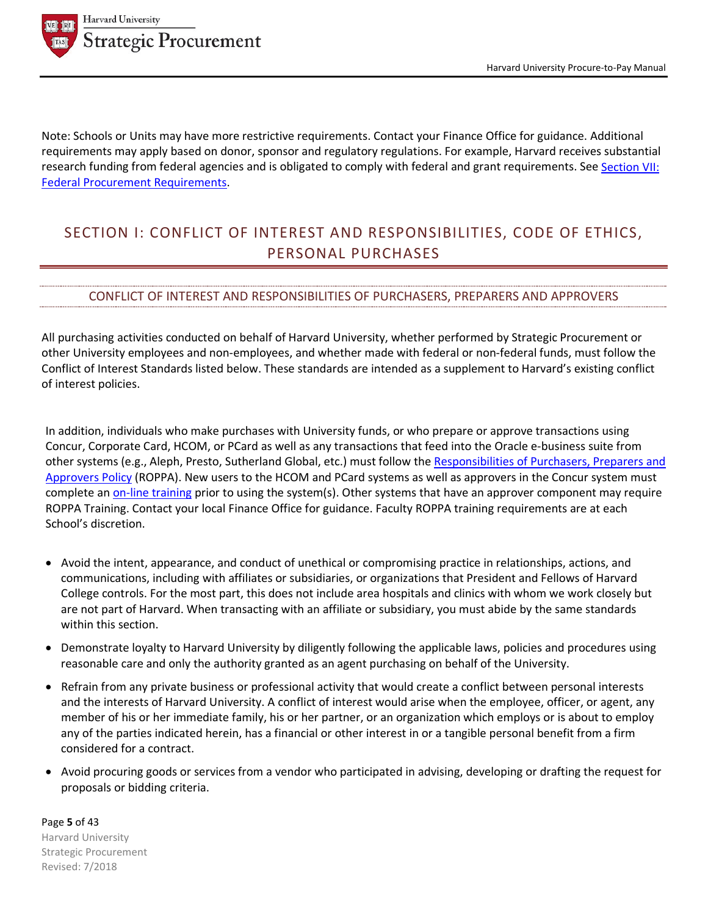

Note: Schools or Units may have more restrictive requirements. Contact your Finance Office for guidance. Additional requirements may apply based on donor, sponsor and regulatory regulations. For example, Harvard receives substantial research funding from federal agencies and is obligated to comply with federal and grant requirements. See Section VII: Federal Procurement Requirements.

# SECTION I: CONFLICT OF INTEREST AND RESPONSIBILITIES, CODE OF ETHICS, PERSONAL PURCHASES

## CONFLICT OF INTEREST AND RESPONSIBILITIES OF PURCHASERS, PREPARERS AND APPROVERS

All purchasing activities conducted on behalf of Harvard University, whether performed by Strategic Procurement or other University employees and non-employees, and whether made with federal or non-federal funds, must follow the Conflict of Interest Standards listed below. These standards are intended as a supplement to Harvard's existing conflict of interest policies.

In addition, individuals who make purchases with University funds, or who prepare or approve transactions using Concur, Corporate Card, HCOM, or PCard as well as any transactions that feed into the Oracle e-business suite from other systems (e.g., Aleph, Presto, Sutherland Global, etc.) must follow the Responsibilities of Purchasers, Preparers and Approvers Policy (ROPPA). New users to the HCOM and PCard systems as well as approvers in the Concur system must complete an on-line training prior to using the system(s). Other systems that have an approver component may require ROPPA Training. Contact your local Finance Office for guidance. Faculty ROPPA training requirements are at each School's discretion.

- Avoid the intent, appearance, and conduct of unethical or compromising practice in relationships, actions, and communications, including with affiliates or subsidiaries, or organizations that President and Fellows of Harvard College controls. For the most part, this does not include area hospitals and clinics with whom we work closely but are not part of Harvard. When transacting with an affiliate or subsidiary, you must abide by the same standards within this section.
- Demonstrate loyalty to Harvard University by diligently following the applicable laws, policies and procedures using reasonable care and only the authority granted as an agent purchasing on behalf of the University.
- Refrain from any private business or professional activity that would create a conflict between personal interests and the interests of Harvard University. A conflict of interest would arise when the employee, officer, or agent, any member of his or her immediate family, his or her partner, or an organization which employs or is about to employ any of the parties indicated herein, has a financial or other interest in or a tangible personal benefit from a firm considered for a contract.
- Avoid procuring goods or services from a vendor who participated in advising, developing or drafting the request for proposals or bidding criteria.

Page **5** of 43 Harvard University Strategic Procurement Revised: 7/2018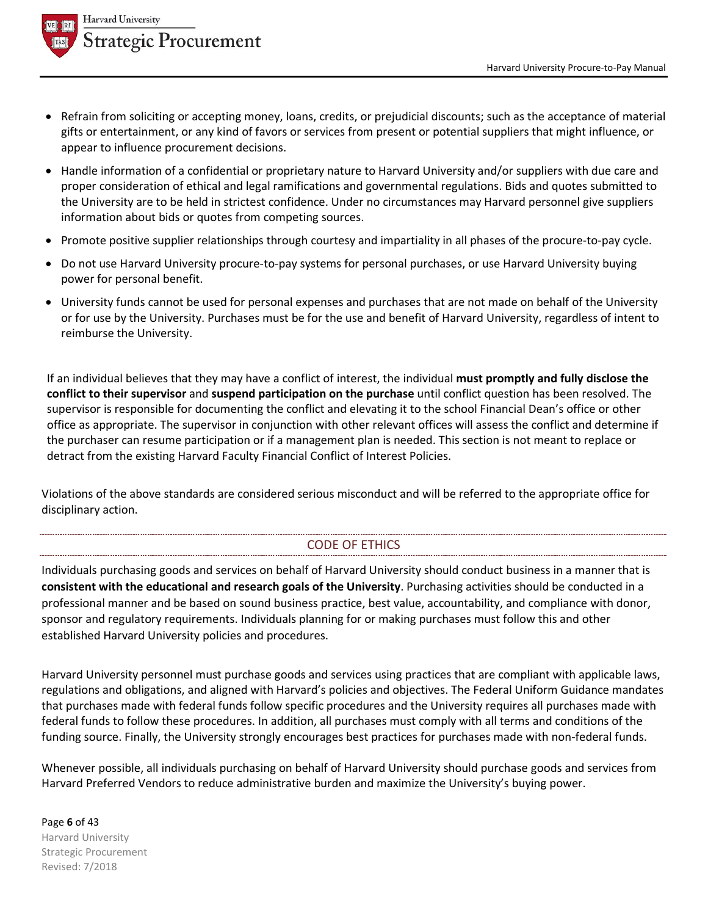

- Refrain from soliciting or accepting money, loans, credits, or prejudicial discounts; such as the acceptance of material gifts or entertainment, or any kind of favors or services from present or potential suppliers that might influence, or appear to influence procurement decisions.
- Handle information of a confidential or proprietary nature to Harvard University and/or suppliers with due care and proper consideration of ethical and legal ramifications and governmental regulations. Bids and quotes submitted to the University are to be held in strictest confidence. Under no circumstances may Harvard personnel give suppliers information about bids or quotes from competing sources.
- Promote positive supplier relationships through courtesy and impartiality in all phases of the procure-to-pay cycle.
- Do not use Harvard University procure-to-pay systems for personal purchases, or use Harvard University buying power for personal benefit.
- University funds cannot be used for personal expenses and purchases that are not made on behalf of the University or for use by the University. Purchases must be for the use and benefit of Harvard University, regardless of intent to reimburse the University.

If an individual believes that they may have a conflict of interest, the individual **must promptly and fully disclose the conflict to their supervisor** and **suspend participation on the purchase** until conflict question has been resolved. The supervisor is responsible for documenting the conflict and elevating it to the school Financial Dean's office or other office as appropriate. The supervisor in conjunction with other relevant offices will assess the conflict and determine if the purchaser can resume participation or if a management plan is needed. This section is not meant to replace or detract from the existing Harvard Faculty Financial Conflict of Interest Policies.

Violations of the above standards are considered serious misconduct and will be referred to the appropriate office for disciplinary action.

# CODE OF ETHICS

Individuals purchasing goods and services on behalf of Harvard University should conduct business in a manner that is **consistent with the educational and research goals of the University**. Purchasing activities should be conducted in a professional manner and be based on sound business practice, best value, accountability, and compliance with donor, sponsor and regulatory requirements. Individuals planning for or making purchases must follow this and other established Harvard University policies and procedures.

Harvard University personnel must purchase goods and services using practices that are compliant with applicable laws, regulations and obligations, and aligned with Harvard's policies and objectives. The Federal Uniform Guidance mandates that purchases made with federal funds follow specific procedures and the University requires all purchases made with federal funds to follow these procedures. In addition, all purchases must comply with all terms and conditions of the funding source. Finally, the University strongly encourages best practices for purchases made with non-federal funds.

Whenever possible, all individuals purchasing on behalf of Harvard University should purchase goods and services from Harvard Preferred Vendors to reduce administrative burden and maximize the University's buying power.

Page **6** of 43 Harvard University Strategic Procurement Revised: 7/2018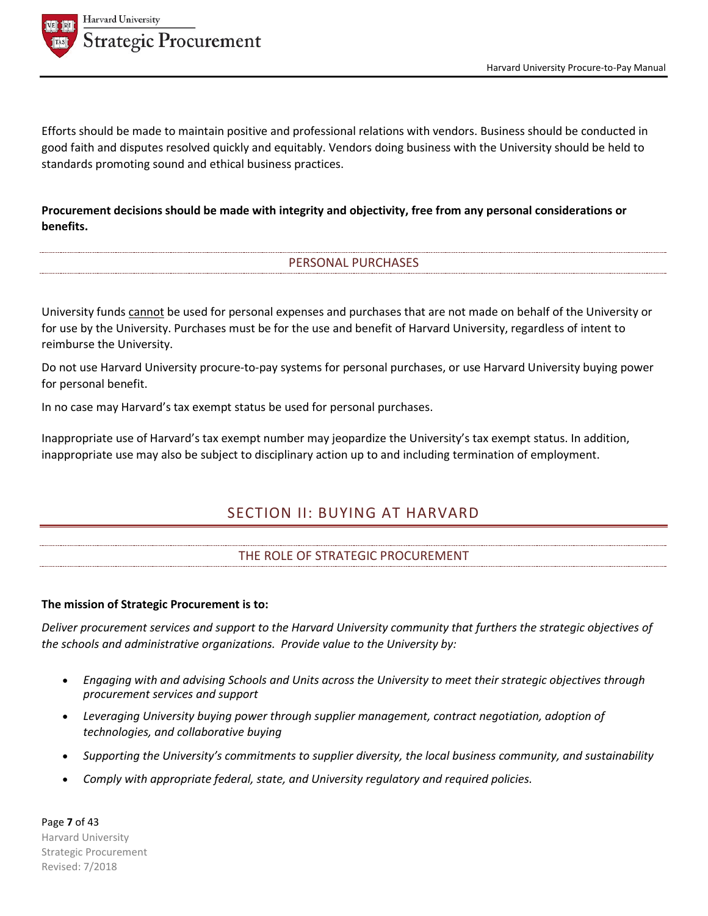

Efforts should be made to maintain positive and professional relations with vendors. Business should be conducted in good faith and disputes resolved quickly and equitably. Vendors doing business with the University should be held to standards promoting sound and ethical business practices.

# **Procurement decisions should be made with integrity and objectivity, free from any personal considerations or benefits.**

# PERSONAL PURCHASES

University funds cannot be used for personal expenses and purchases that are not made on behalf of the University or for use by the University. Purchases must be for the use and benefit of Harvard University, regardless of intent to reimburse the University.

Do not use Harvard University procure-to-pay systems for personal purchases, or use Harvard University buying power for personal benefit.

In no case may Harvard's tax exempt status be used for personal purchases.

Inappropriate use of Harvard's tax exempt number may jeopardize the University's tax exempt status. In addition, inappropriate use may also be subject to disciplinary action up to and including termination of employment.

# SECTION II: BUYING AT HARVARD

# THE ROLE OF STRATEGIC PROCUREMENT

#### **The mission of Strategic Procurement is to:**

*Deliver procurement services and support to the Harvard University community that furthers the strategic objectives of the schools and administrative organizations. Provide value to the University by:*

- *Engaging with and advising Schools and Units across the University to meet their strategic objectives through procurement services and support*
- *Leveraging University buying power through supplier management, contract negotiation, adoption of technologies, and collaborative buying*
- *Supporting the University's commitments to supplier diversity, the local business community, and sustainability*
- *Comply with appropriate federal, state, and University regulatory and required policies.*

Page **7** of 43 Harvard University Strategic Procurement Revised: 7/2018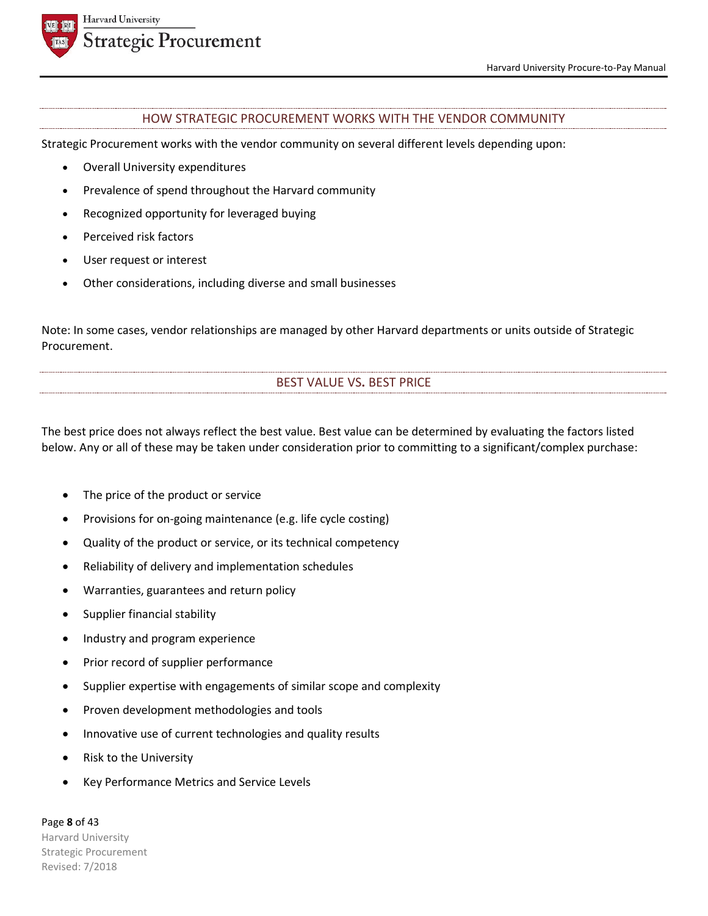

#### HOW STRATEGIC PROCUREMENT WORKS WITH THE VENDOR COMMUNITY

Strategic Procurement works with the vendor community on several different levels depending upon:

- Overall University expenditures
- Prevalence of spend throughout the Harvard community
- Recognized opportunity for leveraged buying
- Perceived risk factors
- User request or interest
- Other considerations, including diverse and small businesses

Note: In some cases, vendor relationships are managed by other Harvard departments or units outside of Strategic Procurement.

# BEST VALUE VS**.** BEST PRICE

The best price does not always reflect the best value. Best value can be determined by evaluating the factors listed below. Any or all of these may be taken under consideration prior to committing to a significant/complex purchase:

- The price of the product or service
- Provisions for on-going maintenance (e.g. life cycle costing)
- Quality of the product or service, or its technical competency
- Reliability of delivery and implementation schedules
- Warranties, guarantees and return policy
- Supplier financial stability
- Industry and program experience
- Prior record of supplier performance
- Supplier expertise with engagements of similar scope and complexity
- Proven development methodologies and tools
- Innovative use of current technologies and quality results
- Risk to the University
- Key Performance Metrics and Service Levels

Page **8** of 43 Harvard University Strategic Procurement Revised: 7/2018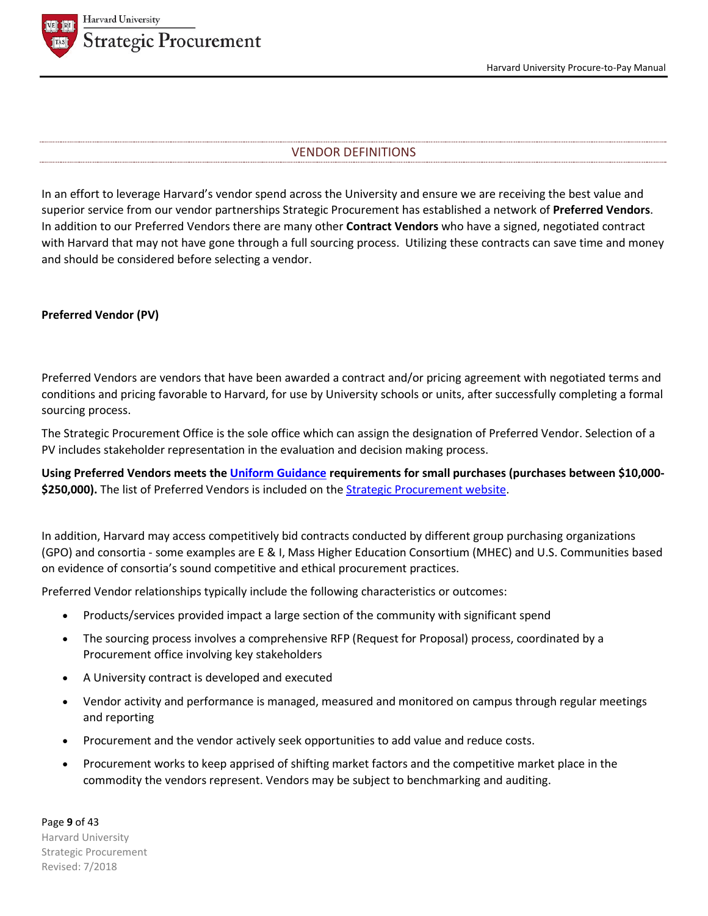

## VENDOR DEFINITIONS

In an effort to leverage Harvard's vendor spend across the University and ensure we are receiving the best value and superior service from our vendor partnerships Strategic Procurement has established a network of **Preferred Vendors**. In addition to our Preferred Vendors there are many other **Contract Vendors** who have a signed, negotiated contract with Harvard that may not have gone through a full sourcing process. Utilizing these contracts can save time and money and should be considered before selecting a vendor.

#### **Preferred Vendor (PV)**

Preferred Vendors are vendors that have been awarded a contract and/or pricing agreement with negotiated terms and conditions and pricing favorable to Harvard, for use by University schools or units, after successfully completing a formal sourcing process.

The Strategic Procurement Office is the sole office which can assign the designation of Preferred Vendor. Selection of a PV includes stakeholder representation in the evaluation and decision making process.

**Using Preferred Vendors meets the Uniform Guidance requirements for small purchases (purchases between \$10,000-** \$250,000). The list of Preferred Vendors is included on the **Strategic Procurement website**.

In addition, Harvard may access competitively bid contracts conducted by different group purchasing organizations (GPO) and consortia - some examples are E & I, Mass Higher Education Consortium (MHEC) and U.S. Communities based on evidence of consortia's sound competitive and ethical procurement practices.

Preferred Vendor relationships typically include the following characteristics or outcomes:

- Products/services provided impact a large section of the community with significant spend
- The sourcing process involves a comprehensive RFP (Request for Proposal) process, coordinated by a Procurement office involving key stakeholders
- A University contract is developed and executed
- Vendor activity and performance is managed, measured and monitored on campus through regular meetings and reporting
- Procurement and the vendor actively seek opportunities to add value and reduce costs.
- Procurement works to keep apprised of shifting market factors and the competitive market place in the commodity the vendors represent. Vendors may be subject to benchmarking and auditing.

Page **9** of 43 Harvard University Strategic Procurement Revised: 7/2018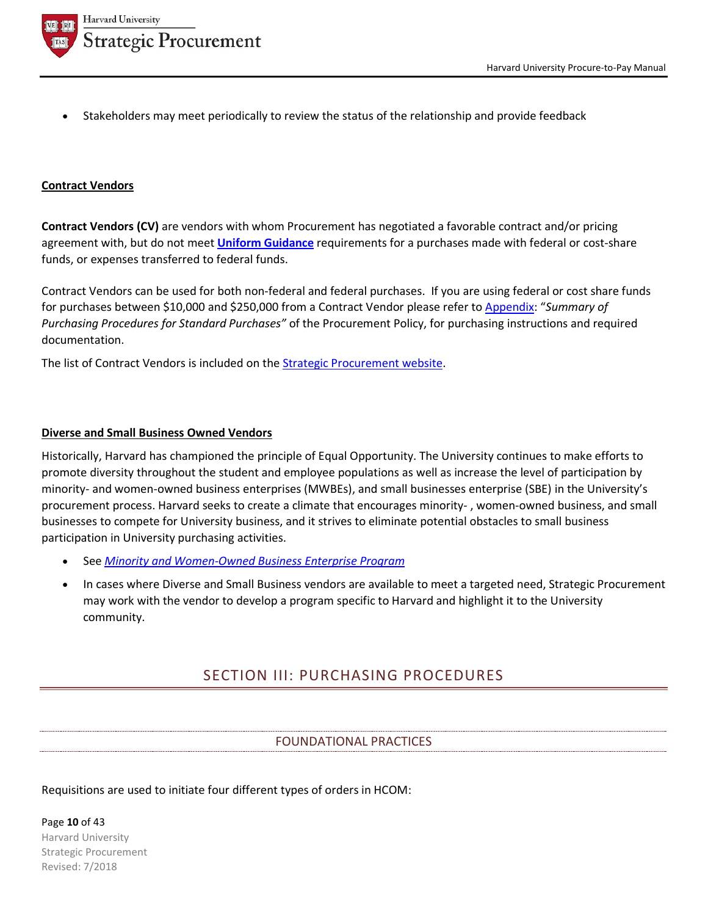

• Stakeholders may meet periodically to review the status of the relationship and provide feedback

## **Contract Vendors**

**Contract Vendors (CV)** are vendors with whom Procurement has negotiated a favorable contract and/or pricing agreement with, but do not meet **Uniform Guidance** requirements for a purchases made with federal or cost-share funds, or expenses transferred to federal funds.

Contract Vendors can be used for both non-federal and federal purchases. If you are using federal or cost share funds for purchases between \$10,000 and \$250,000 from a Contract Vendor please refer to Appendix: "*Summary of Purchasing Procedures for Standard Purchases"* of the Procurement Policy, for purchasing instructions and required documentation.

The list of Contract Vendors is included on the Strategic Procurement website.

## **Diverse and Small Business Owned Vendors**

Historically, Harvard has championed the principle of Equal Opportunity. The University continues to make efforts to promote diversity throughout the student and employee populations as well as increase the level of participation by minority- and women-owned business enterprises (MWBEs), and small businesses enterprise (SBE) in the University's procurement process. Harvard seeks to create a climate that encourages minority- , women-owned business, and small businesses to compete for University business, and it strives to eliminate potential obstacles to small business participation in University purchasing activities.

- See *Minority and Women-Owned Business Enterprise Program*
- In cases where Diverse and Small Business vendors are available to meet a targeted need, Strategic Procurement may work with the vendor to develop a program specific to Harvard and highlight it to the University community.

# SECTION III: PURCHASING PROCEDURES

# FOUNDATIONAL PRACTICES

# Requisitions are used to initiate four different types of orders in HCOM:

Page **10** of 43 Harvard University Strategic Procurement Revised: 7/2018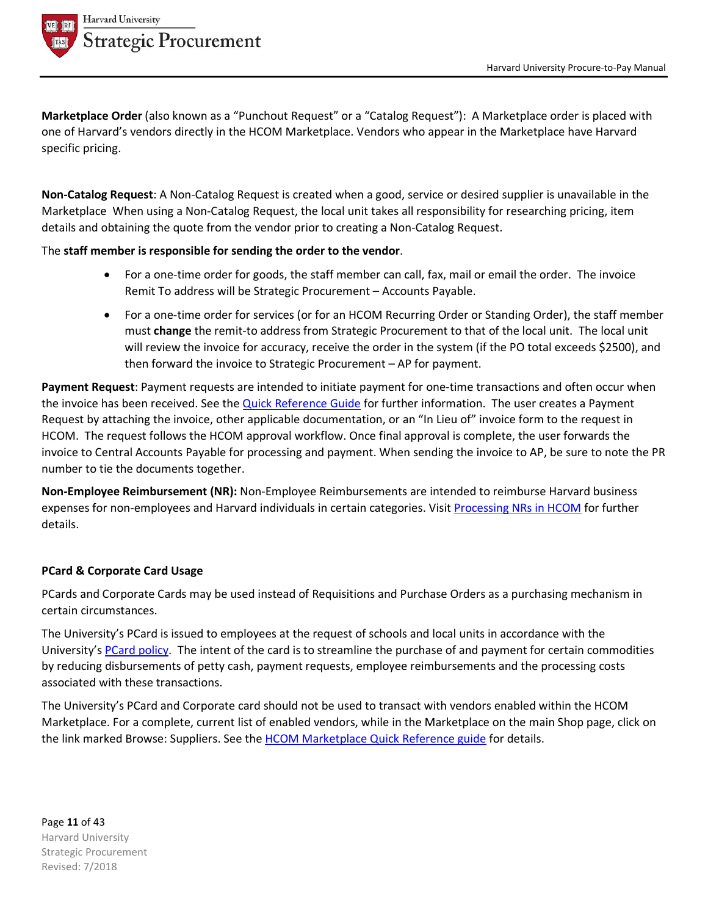

**Marketplace Order** (also known as a "Punchout Request" or a "Catalog Request"): A Marketplace order is placed with one of Harvard's vendors directly in the HCOM Marketplace. Vendors who appear in the Marketplace have Harvard specific pricing.

**Non-Catalog Request**: A Non-Catalog Request is created when a good, service or desired supplier is unavailable in the Marketplace When using a Non-Catalog Request, the local unit takes all responsibility for researching pricing, item details and obtaining the quote from the vendor prior to creating a Non-Catalog Request.

# The **staff member is responsible for sending the order to the vendor**.

- For a one-time order for goods, the staff member can call, fax, mail or email the order. The invoice Remit To address will be Strategic Procurement – Accounts Payable.
- For a one-time order for services (or for an HCOM Recurring Order or Standing Order), the staff member must **change** the remit-to address from Strategic Procurement to that of the local unit. The local unit will review the invoice for accuracy, receive the order in the system (if the PO total exceeds \$2500), and then forward the invoice to Strategic Procurement – AP for payment.

**Payment Request**: Payment requests are intended to initiate payment for one-time transactions and often occur when the invoice has been received. See the Quick Reference Guide for further information. The user creates a Payment Request by attaching the invoice, other applicable documentation, or an "In Lieu of" invoice form to the request in HCOM. The request follows the HCOM approval workflow. Once final approval is complete, the user forwards the invoice to Central Accounts Payable for processing and payment. When sending the invoice to AP, be sure to note the PR number to tie the documents together.

**Non-Employee Reimbursement (NR):** Non-Employee Reimbursements are intended to reimburse Harvard business expenses for non-employees and Harvard individuals in certain categories. Visit Processing NRs in HCOM for further details.

# **PCard & Corporate Card Usage**

PCards and Corporate Cards may be used instead of Requisitions and Purchase Orders as a purchasing mechanism in certain circumstances.

The University's PCard is issued to employees at the request of schools and local units in accordance with the University's PCard policy. The intent of the card is to streamline the purchase of and payment for certain commodities by reducing disbursements of petty cash, payment requests, employee reimbursements and the processing costs associated with these transactions.

The University's PCard and Corporate card should not be used to transact with vendors enabled within the HCOM Marketplace. For a complete, current list of enabled vendors, while in the Marketplace on the main Shop page, click on the link marked Browse: Suppliers. See the HCOM Marketplace Quick Reference guide for details.

Page **11** of 43 Harvard University Strategic Procurement Revised: 7/2018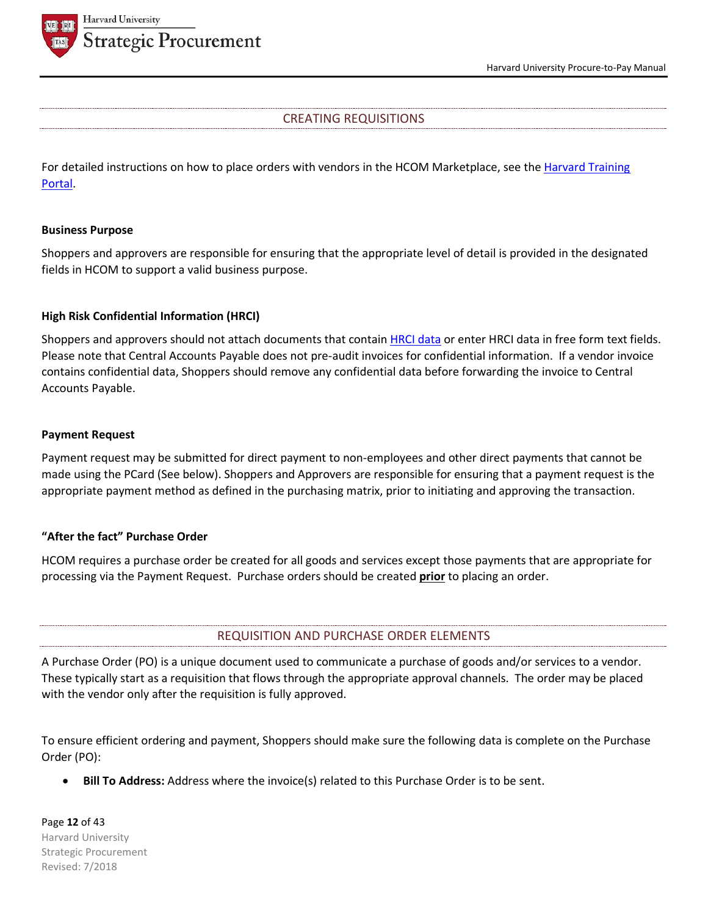



# CREATING REQUISITIONS

For detailed instructions on how to place orders with vendors in the HCOM Marketplace, see the Harvard Training Portal.

## **Business Purpose**

Shoppers and approvers are responsible for ensuring that the appropriate level of detail is provided in the designated fields in HCOM to support a valid business purpose.

## **High Risk Confidential Information (HRCI)**

Shoppers and approvers should not attach documents that contain **HRCI data** or enter HRCI data in free form text fields. Please note that Central Accounts Payable does not pre-audit invoices for confidential information. If a vendor invoice contains confidential data, Shoppers should remove any confidential data before forwarding the invoice to Central Accounts Payable.

## **Payment Request**

Payment request may be submitted for direct payment to non-employees and other direct payments that cannot be made using the PCard (See below). Shoppers and Approvers are responsible for ensuring that a payment request is the appropriate payment method as defined in the purchasing matrix, prior to initiating and approving the transaction.

## **"After the fact" Purchase Order**

HCOM requires a purchase order be created for all goods and services except those payments that are appropriate for processing via the Payment Request. Purchase orders should be created **prior** to placing an order.

# REQUISITION AND PURCHASE ORDER ELEMENTS

A Purchase Order (PO) is a unique document used to communicate a purchase of goods and/or services to a vendor. These typically start as a requisition that flows through the appropriate approval channels. The order may be placed with the vendor only after the requisition is fully approved.

To ensure efficient ordering and payment, Shoppers should make sure the following data is complete on the Purchase Order (PO):

• **Bill To Address:** Address where the invoice(s) related to this Purchase Order is to be sent.

Page **12** of 43 Harvard University Strategic Procurement Revised: 7/2018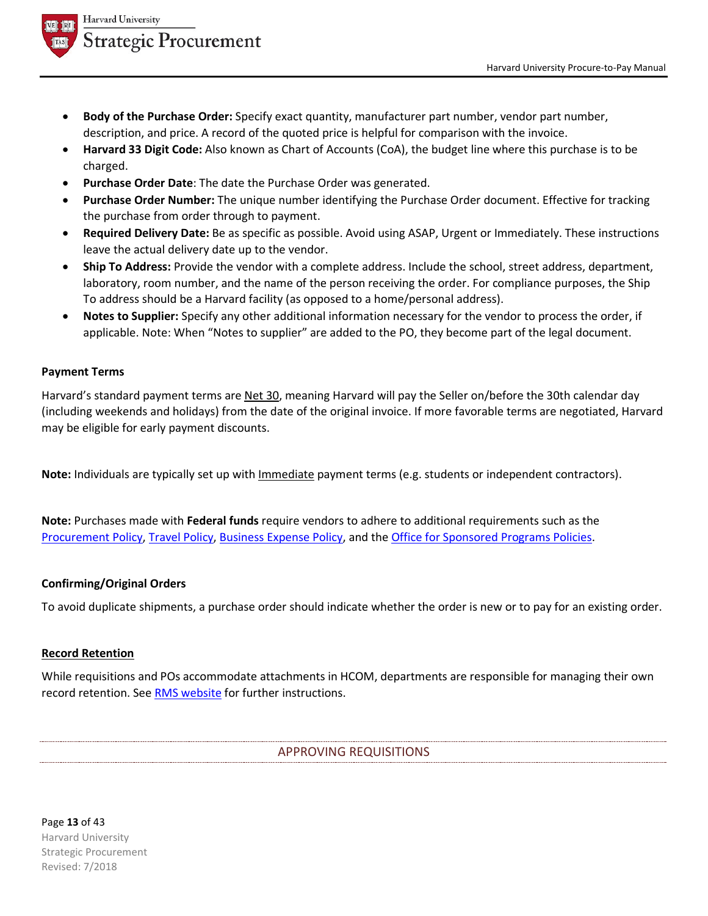

- **Body of the Purchase Order:** Specify exact quantity, manufacturer part number, vendor part number, description, and price. A record of the quoted price is helpful for comparison with the invoice.
- **Harvard 33 Digit Code:** Also known as Chart of Accounts (CoA), the budget line where this purchase is to be charged.
- Purchase Order Date: The date the Purchase Order was generated.
- **Purchase Order Number:** The unique number identifying the Purchase Order document. Effective for tracking the purchase from order through to payment.
- **Required Delivery Date:** Be as specific as possible. Avoid using ASAP, Urgent or Immediately. These instructions leave the actual delivery date up to the vendor.
- **Ship To Address:** Provide the vendor with a complete address. Include the school, street address, department, laboratory, room number, and the name of the person receiving the order. For compliance purposes, the Ship To address should be a Harvard facility (as opposed to a home/personal address).
- **Notes to Supplier:** Specify any other additional information necessary for the vendor to process the order, if applicable. Note: When "Notes to supplier" are added to the PO, they become part of the legal document.

## **Payment Terms**

Harvard's standard payment terms are Net 30, meaning Harvard will pay the Seller on/before the 30th calendar day (including weekends and holidays) from the date of the original invoice. If more favorable terms are negotiated, Harvard may be eligible for early payment discounts.

**Note:** Individuals are typically set up with Immediate payment terms (e.g. students or independent contractors).

**Note:** Purchases made with **Federal funds** require vendors to adhere to additional requirements such as the Procurement Policy, Travel Policy, Business Expense Policy, and the Office for Sponsored Programs Policies.

# **Confirming/Original Orders**

To avoid duplicate shipments, a purchase order should indicate whether the order is new or to pay for an existing order.

## **Record Retention**

While requisitions and POs accommodate attachments in HCOM, departments are responsible for managing their own record retention. See RMS website for further instructions.

## APPROVING REQUISITIONS

Page **13** of 43 Harvard University Strategic Procurement Revised: 7/2018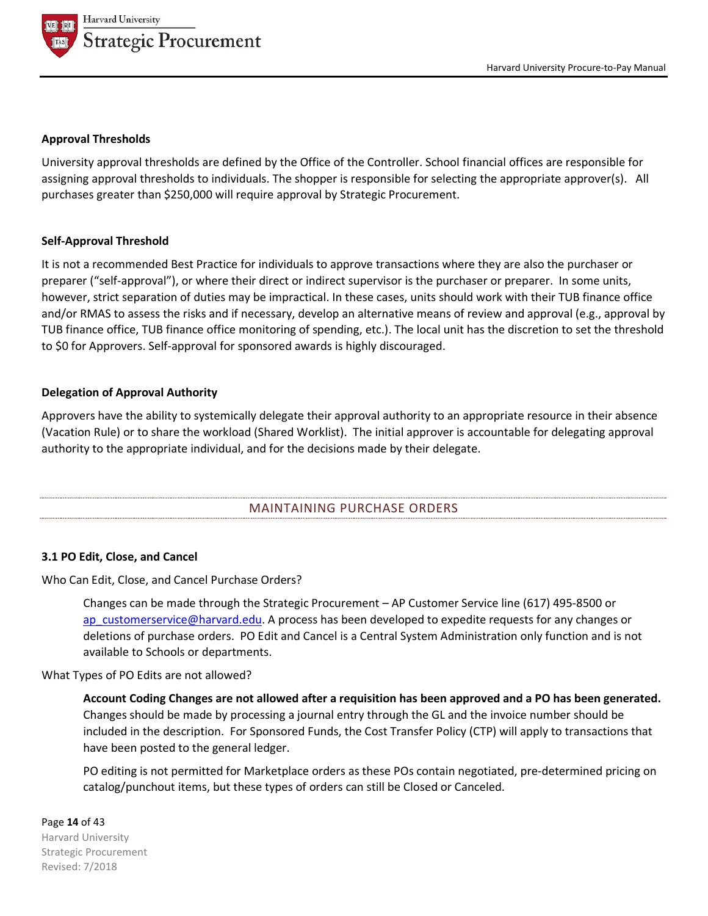

#### **Approval Thresholds**

University approval thresholds are defined by the Office of the Controller. School financial offices are responsible for assigning approval thresholds to individuals. The shopper is responsible for selecting the appropriate approver(s). All purchases greater than \$250,000 will require approval by Strategic Procurement.

#### **Self-Approval Threshold**

It is not a recommended Best Practice for individuals to approve transactions where they are also the purchaser or preparer ("self-approval"), or where their direct or indirect supervisor is the purchaser or preparer. In some units, however, strict separation of duties may be impractical. In these cases, units should work with their TUB finance office and/or RMAS to assess the risks and if necessary, develop an alternative means of review and approval (e.g., approval by TUB finance office, TUB finance office monitoring of spending, etc.). The local unit has the discretion to set the threshold to \$0 for Approvers. Self-approval for sponsored awards is highly discouraged.

#### **Delegation of Approval Authority**

Approvers have the ability to systemically delegate their approval authority to an appropriate resource in their absence (Vacation Rule) or to share the workload (Shared Worklist). The initial approver is accountable for delegating approval authority to the appropriate individual, and for the decisions made by their delegate.

# MAINTAINING PURCHASE ORDERS

## **3.1 PO Edit, Close, and Cancel**

Who Can Edit, Close, and Cancel Purchase Orders?

Changes can be made through the Strategic Procurement – AP Customer Service line (617) 495-8500 or ap\_customerservice@harvard.edu. A process has been developed to expedite requests for any changes or deletions of purchase orders. PO Edit and Cancel is a Central System Administration only function and is not available to Schools or departments.

#### What Types of PO Edits are not allowed?

**Account Coding Changes are not allowed after a requisition has been approved and a PO has been generated.** Changes should be made by processing a journal entry through the GL and the invoice number should be included in the description. For Sponsored Funds, the Cost Transfer Policy (CTP) will apply to transactions that have been posted to the general ledger.

PO editing is not permitted for Marketplace orders as these POs contain negotiated, pre-determined pricing on catalog/punchout items, but these types of orders can still be Closed or Canceled.

#### Page **14** of 43

Harvard University Strategic Procurement Revised: 7/2018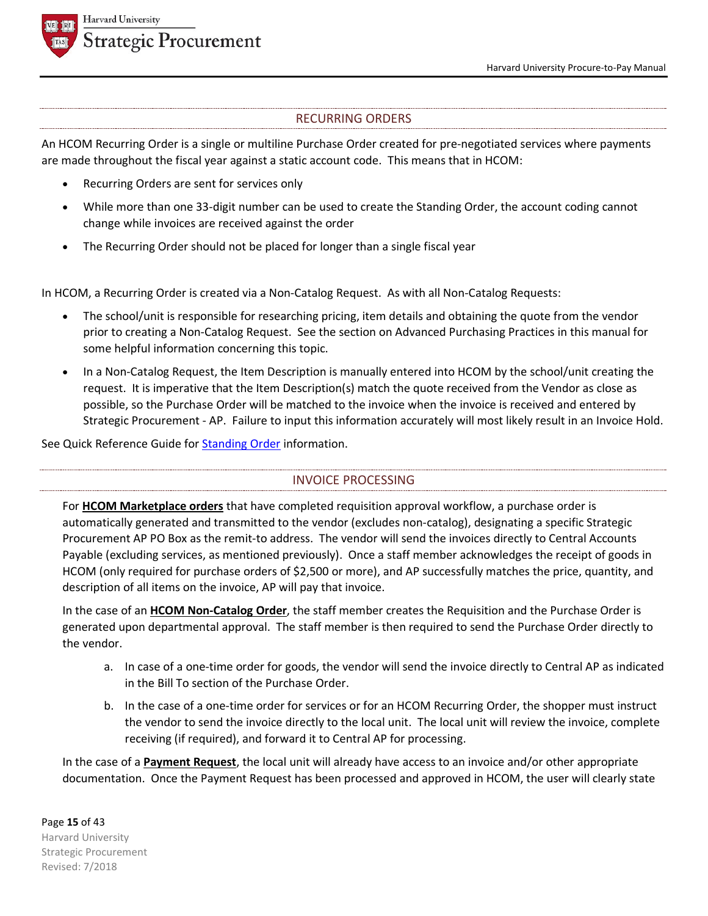

# RECURRING ORDERS

An HCOM Recurring Order is a single or multiline Purchase Order created for pre-negotiated services where payments are made throughout the fiscal year against a static account code. This means that in HCOM:

- Recurring Orders are sent for services only
- While more than one 33-digit number can be used to create the Standing Order, the account coding cannot change while invoices are received against the order
- The Recurring Order should not be placed for longer than a single fiscal year

In HCOM, a Recurring Order is created via a Non-Catalog Request. As with all Non-Catalog Requests:

- The school/unit is responsible for researching pricing, item details and obtaining the quote from the vendor prior to creating a Non-Catalog Request. See the section on Advanced Purchasing Practices in this manual for some helpful information concerning this topic.
- In a Non-Catalog Request, the Item Description is manually entered into HCOM by the school/unit creating the request. It is imperative that the Item Description(s) match the quote received from the Vendor as close as possible, so the Purchase Order will be matched to the invoice when the invoice is received and entered by Strategic Procurement - AP. Failure to input this information accurately will most likely result in an Invoice Hold.

See Quick Reference Guide for **Standing Order** information.

# INVOICE PROCESSING

For **HCOM Marketplace orders** that have completed requisition approval workflow, a purchase order is automatically generated and transmitted to the vendor (excludes non-catalog), designating a specific Strategic Procurement AP PO Box as the remit-to address. The vendor will send the invoices directly to Central Accounts Payable (excluding services, as mentioned previously). Once a staff member acknowledges the receipt of goods in HCOM (only required for purchase orders of \$2,500 or more), and AP successfully matches the price, quantity, and description of all items on the invoice, AP will pay that invoice.

In the case of an **HCOM Non-Catalog Order**, the staff member creates the Requisition and the Purchase Order is generated upon departmental approval. The staff member is then required to send the Purchase Order directly to the vendor.

- a. In case of a one-time order for goods, the vendor will send the invoice directly to Central AP as indicated in the Bill To section of the Purchase Order.
- b. In the case of a one-time order for services or for an HCOM Recurring Order, the shopper must instruct the vendor to send the invoice directly to the local unit. The local unit will review the invoice, complete receiving (if required), and forward it to Central AP for processing.

In the case of a **Payment Request**, the local unit will already have access to an invoice and/or other appropriate documentation. Once the Payment Request has been processed and approved in HCOM, the user will clearly state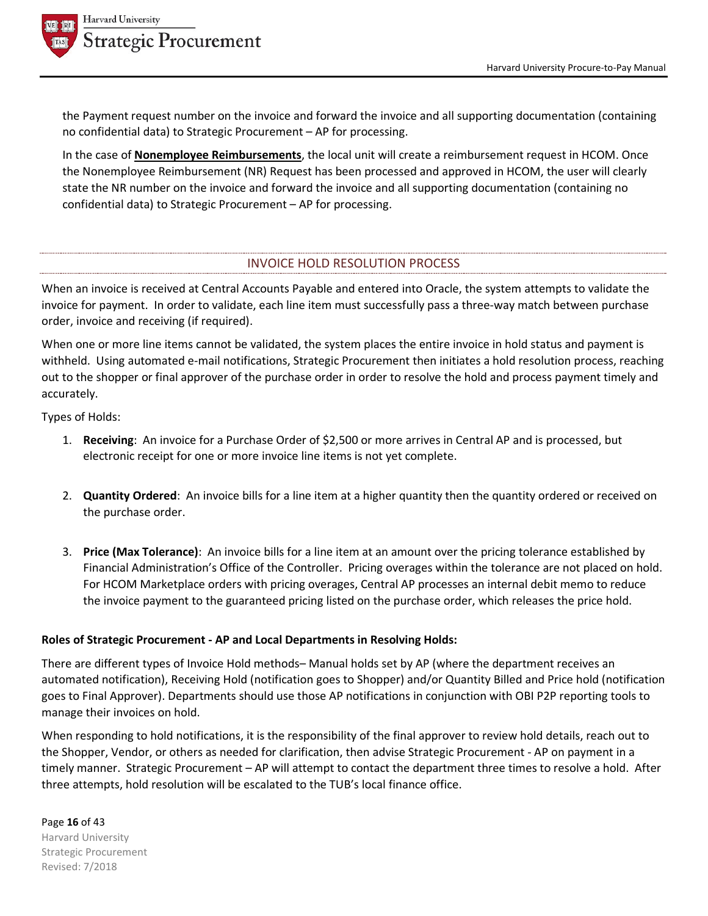



the Payment request number on the invoice and forward the invoice and all supporting documentation (containing no confidential data) to Strategic Procurement – AP for processing.

In the case of **Nonemployee Reimbursements**, the local unit will create a reimbursement request in HCOM. Once the Nonemployee Reimbursement (NR) Request has been processed and approved in HCOM, the user will clearly state the NR number on the invoice and forward the invoice and all supporting documentation (containing no confidential data) to Strategic Procurement – AP for processing.

# INVOICE HOLD RESOLUTION PROCESS

When an invoice is received at Central Accounts Payable and entered into Oracle, the system attempts to validate the invoice for payment. In order to validate, each line item must successfully pass a three-way match between purchase order, invoice and receiving (if required).

When one or more line items cannot be validated, the system places the entire invoice in hold status and payment is withheld. Using automated e-mail notifications, Strategic Procurement then initiates a hold resolution process, reaching out to the shopper or final approver of the purchase order in order to resolve the hold and process payment timely and accurately.

Types of Holds:

- 1. **Receiving**: An invoice for a Purchase Order of \$2,500 or more arrives in Central AP and is processed, but electronic receipt for one or more invoice line items is not yet complete.
- 2. **Quantity Ordered**: An invoice bills for a line item at a higher quantity then the quantity ordered or received on the purchase order.
- 3. **Price (Max Tolerance)**: An invoice bills for a line item at an amount over the pricing tolerance established by Financial Administration's Office of the Controller. Pricing overages within the tolerance are not placed on hold. For HCOM Marketplace orders with pricing overages, Central AP processes an internal debit memo to reduce the invoice payment to the guaranteed pricing listed on the purchase order, which releases the price hold.

# **Roles of Strategic Procurement - AP and Local Departments in Resolving Holds:**

There are different types of Invoice Hold methods– Manual holds set by AP (where the department receives an automated notification), Receiving Hold (notification goes to Shopper) and/or Quantity Billed and Price hold (notification goes to Final Approver). Departments should use those AP notifications in conjunction with OBI P2P reporting tools to manage their invoices on hold.

When responding to hold notifications, it is the responsibility of the final approver to review hold details, reach out to the Shopper, Vendor, or others as needed for clarification, then advise Strategic Procurement - AP on payment in a timely manner. Strategic Procurement – AP will attempt to contact the department three times to resolve a hold. After three attempts, hold resolution will be escalated to the TUB's local finance office.

Page **16** of 43 Harvard University Strategic Procurement Revised: 7/2018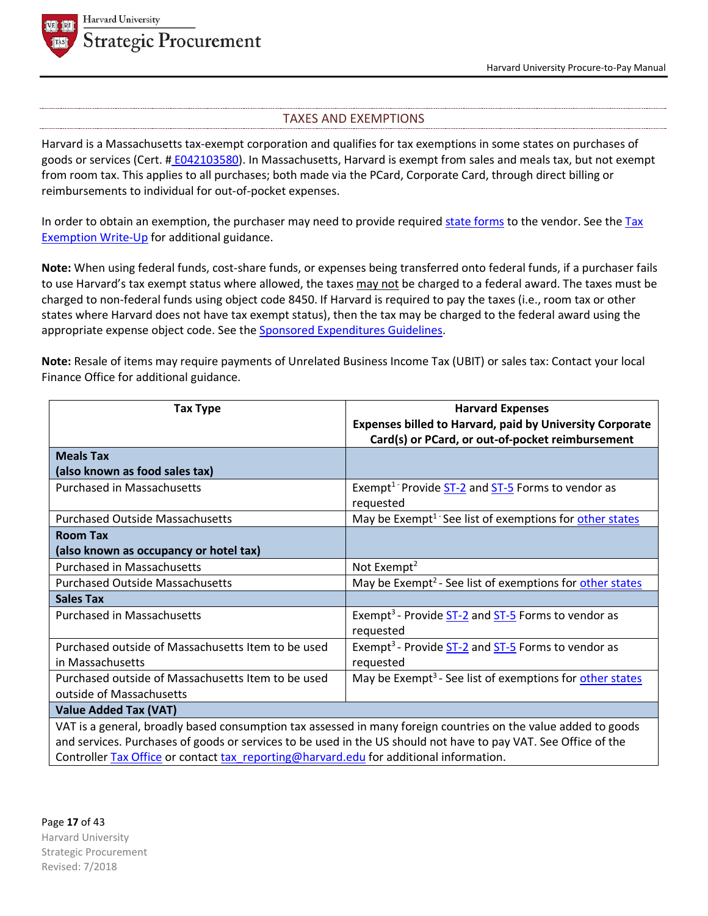



## TAXES AND EXEMPTIONS

Harvard is a Massachusetts tax-exempt corporation and qualifies for tax exemptions in some states on purchases of goods or services (Cert. # E042103580). In Massachusetts, Harvard is exempt from sales and meals tax, but not exempt from room tax. This applies to all purchases; both made via the PCard, Corporate Card, through direct billing or reimbursements to individual for out-of-pocket expenses.

In order to obtain an exemption, the purchaser may need to provide required state forms to the vendor. See the Tax Exemption Write-Up for additional guidance.

**Note:** When using federal funds, cost-share funds, or expenses being transferred onto federal funds, if a purchaser fails to use Harvard's tax exempt status where allowed, the taxes may not be charged to a federal award. The taxes must be charged to non-federal funds using object code 8450. If Harvard is required to pay the taxes (i.e., room tax or other states where Harvard does not have tax exempt status), then the tax may be charged to the federal award using the appropriate expense object code. See the **Sponsored Expenditures Guidelines**.

**Note:** Resale of items may require payments of Unrelated Business Income Tax (UBIT) or sales tax: Contact your local Finance Office for additional guidance.

| <b>Tax Type</b>                                                                                                 | <b>Harvard Expenses</b>                                              |  |
|-----------------------------------------------------------------------------------------------------------------|----------------------------------------------------------------------|--|
|                                                                                                                 | <b>Expenses billed to Harvard, paid by University Corporate</b>      |  |
|                                                                                                                 | Card(s) or PCard, or out-of-pocket reimbursement                     |  |
| <b>Meals Tax</b>                                                                                                |                                                                      |  |
| (also known as food sales tax)                                                                                  |                                                                      |  |
| <b>Purchased in Massachusetts</b>                                                                               | Exempt <sup>1</sup> Provide $ST-2$ and $ST-5$ Forms to vendor as     |  |
|                                                                                                                 | requested                                                            |  |
| <b>Purchased Outside Massachusetts</b>                                                                          | May be Exempt <sup>1 -</sup> See list of exemptions for other states |  |
| <b>Room Tax</b>                                                                                                 |                                                                      |  |
| (also known as occupancy or hotel tax)                                                                          |                                                                      |  |
| <b>Purchased in Massachusetts</b>                                                                               | Not Exempt <sup>2</sup>                                              |  |
| <b>Purchased Outside Massachusetts</b>                                                                          | May be Exempt <sup>2</sup> - See list of exemptions for other states |  |
| <b>Sales Tax</b>                                                                                                |                                                                      |  |
| <b>Purchased in Massachusetts</b>                                                                               | Exempt <sup>3</sup> - Provide ST-2 and ST-5 Forms to vendor as       |  |
|                                                                                                                 | requested                                                            |  |
| Purchased outside of Massachusetts Item to be used                                                              | Exempt <sup>3</sup> - Provide ST-2 and ST-5 Forms to vendor as       |  |
| in Massachusetts                                                                                                | requested                                                            |  |
| Purchased outside of Massachusetts Item to be used                                                              | May be Exempt <sup>3</sup> - See list of exemptions for other states |  |
| outside of Massachusetts                                                                                        |                                                                      |  |
| <b>Value Added Tax (VAT)</b>                                                                                    |                                                                      |  |
| VAT is a general, broadly based consumption tax assessed in many foreign countries on the value added to goods  |                                                                      |  |
| and services. Purchases of goods or services to be used in the US should not have to pay VAT. See Office of the |                                                                      |  |
| Controller Tax Office or contact tax reporting@harvard.edu for additional information.                          |                                                                      |  |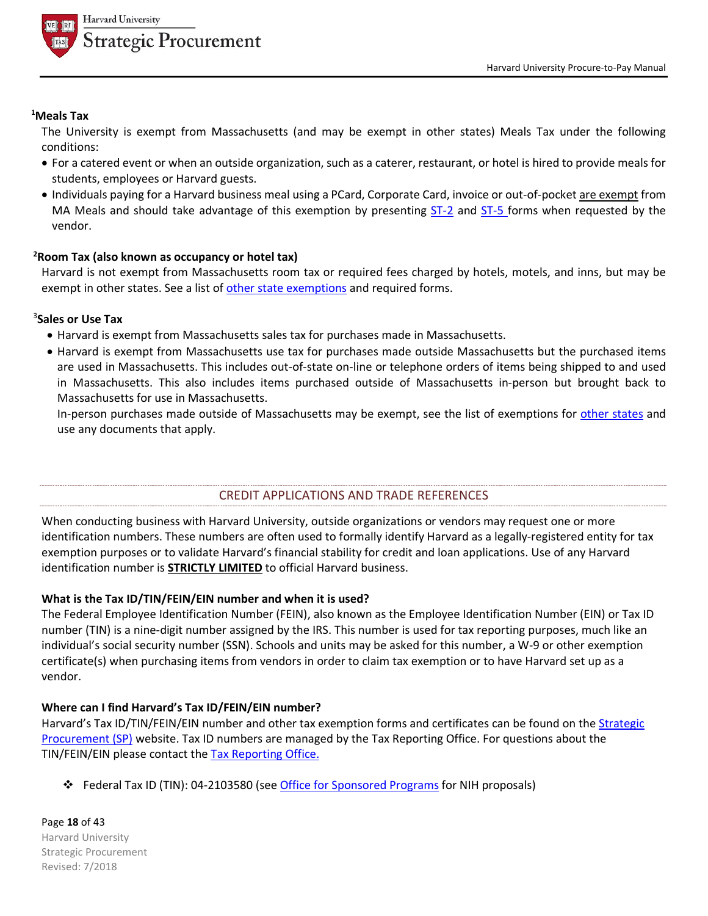

## **1 Meals Tax**

The University is exempt from Massachusetts (and may be exempt in other states) Meals Tax under the following conditions:

- For a catered event or when an outside organization, such as a caterer, restaurant, or hotel is hired to provide meals for students, employees or Harvard guests.
- Individuals paying for a Harvard business meal using a PCard, Corporate Card, invoice or out-of-pocket are exempt from MA Meals and should take advantage of this exemption by presenting ST-2 and ST-5 forms when requested by the vendor.

#### **2 Room Tax (also known as occupancy or hotel tax)**

Harvard is not exempt from Massachusetts room tax or required fees charged by hotels, motels, and inns, but may be exempt in other states. See a list of other state exemptions and required forms.

## 3 **Sales or Use Tax**

- Harvard is exempt from Massachusetts sales tax for purchases made in Massachusetts.
- Harvard is exempt from Massachusetts use tax for purchases made outside Massachusetts but the purchased items are used in Massachusetts. This includes out-of-state on-line or telephone orders of items being shipped to and used in Massachusetts. This also includes items purchased outside of Massachusetts in-person but brought back to Massachusetts for use in Massachusetts.

In-person purchases made outside of Massachusetts may be exempt, see the list of exemptions for other states and use any documents that apply.

# CREDIT APPLICATIONS AND TRADE REFERENCES

When conducting business with Harvard University, outside organizations or vendors may request one or more identification numbers. These numbers are often used to formally identify Harvard as a legally-registered entity for tax exemption purposes or to validate Harvard's financial stability for credit and loan applications. Use of any Harvard identification number is **STRICTLY LIMITED** to official Harvard business.

## **What is the Tax ID/TIN/FEIN/EIN number and when it is used?**

The Federal Employee Identification Number (FEIN), also known as the Employee Identification Number (EIN) or Tax ID number (TIN) is a nine-digit number assigned by the IRS. This number is used for tax reporting purposes, much like an individual's social security number (SSN). Schools and units may be asked for this number, a W-9 or other exemption certificate(s) when purchasing items from vendors in order to claim tax exemption or to have Harvard set up as a vendor.

## **Where can I find Harvard's Tax ID/FEIN/EIN number?**

Harvard's Tax ID/TIN/FEIN/EIN number and other tax exemption forms and certificates can be found on the **Strategic** Procurement (SP) website. Tax ID numbers are managed by the Tax Reporting Office. For questions about the TIN/FEIN/EIN please contact the Tax Reporting Office.

 **← Federal Tax ID (TIN): 04-2103580 (see Office for Sponsored Programs for NIH proposals)** 

Page **18** of 43 Harvard University Strategic Procurement Revised: 7/2018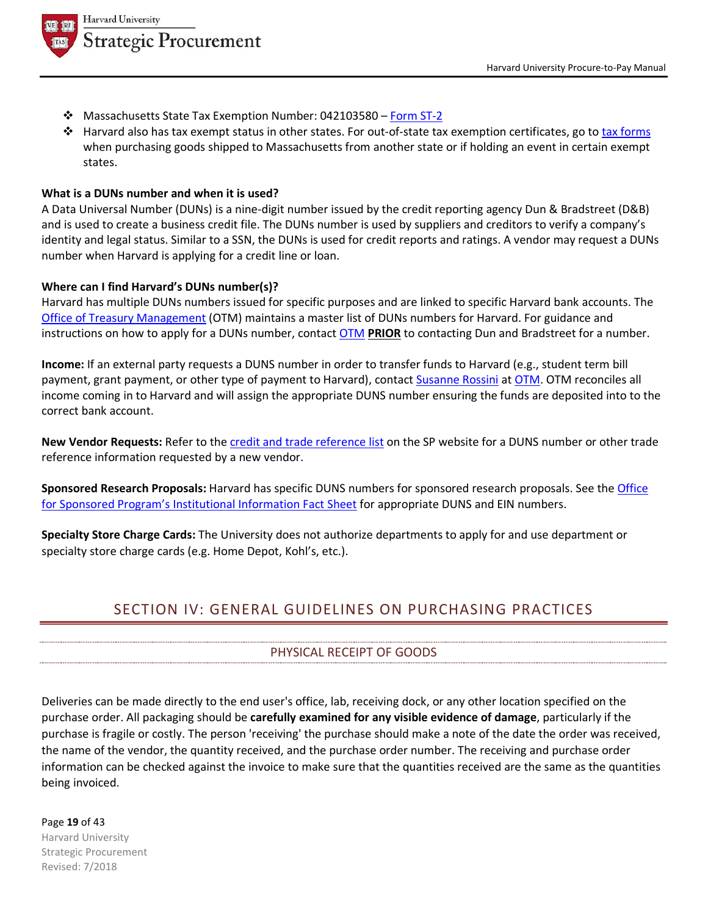

- Massachusetts State Tax Exemption Number: 042103580 Form ST-2
- $\clubsuit$  Harvard also has tax exempt status in other states. For out-of-state tax exemption certificates, go to tax forms when purchasing goods shipped to Massachusetts from another state or if holding an event in certain exempt states.

#### **What is a DUNs number and when it is used?**

A Data Universal Number (DUNs) is a nine-digit number issued by the credit reporting agency Dun & Bradstreet (D&B) and is used to create a business credit file. The DUNs number is used by suppliers and creditors to verify a company's identity and legal status. Similar to a SSN, the DUNs is used for credit reports and ratings. A vendor may request a DUNs number when Harvard is applying for a credit line or loan.

#### **Where can I find Harvard's DUNs number(s)?**

Harvard has multiple DUNs numbers issued for specific purposes and are linked to specific Harvard bank accounts. The Office of Treasury Management (OTM) maintains a master list of DUNs numbers for Harvard. For guidance and instructions on how to apply for a DUNs number, contact OTM **PRIOR** to contacting Dun and Bradstreet for a number.

**Income:** If an external party requests a DUNS number in order to transfer funds to Harvard (e.g., student term bill payment, grant payment, or other type of payment to Harvard), contact Susanne Rossini at OTM. OTM reconciles all income coming in to Harvard and will assign the appropriate DUNS number ensuring the funds are deposited into to the correct bank account.

**New Vendor Requests:** Refer to the credit and trade reference list on the SP website for a DUNS number or other trade reference information requested by a new vendor.

**Sponsored Research Proposals:** Harvard has specific DUNS numbers for sponsored research proposals. See the Office for Sponsored Program's Institutional Information Fact Sheet for appropriate DUNS and EIN numbers.

**Specialty Store Charge Cards:** The University does not authorize departments to apply for and use department or specialty store charge cards (e.g. Home Depot, Kohl's, etc.).

# SECTION IV: GENERAL GUIDELINES ON PURCHASING PRACTICES

# PHYSICAL RECEIPT OF GOODS

Deliveries can be made directly to the end user's office, lab, receiving dock, or any other location specified on the purchase order. All packaging should be **carefully examined for any visible evidence of damage**, particularly if the purchase is fragile or costly. The person 'receiving' the purchase should make a note of the date the order was received, the name of the vendor, the quantity received, and the purchase order number. The receiving and purchase order information can be checked against the invoice to make sure that the quantities received are the same as the quantities being invoiced.

Page **19** of 43

Harvard University Strategic Procurement Revised: 7/2018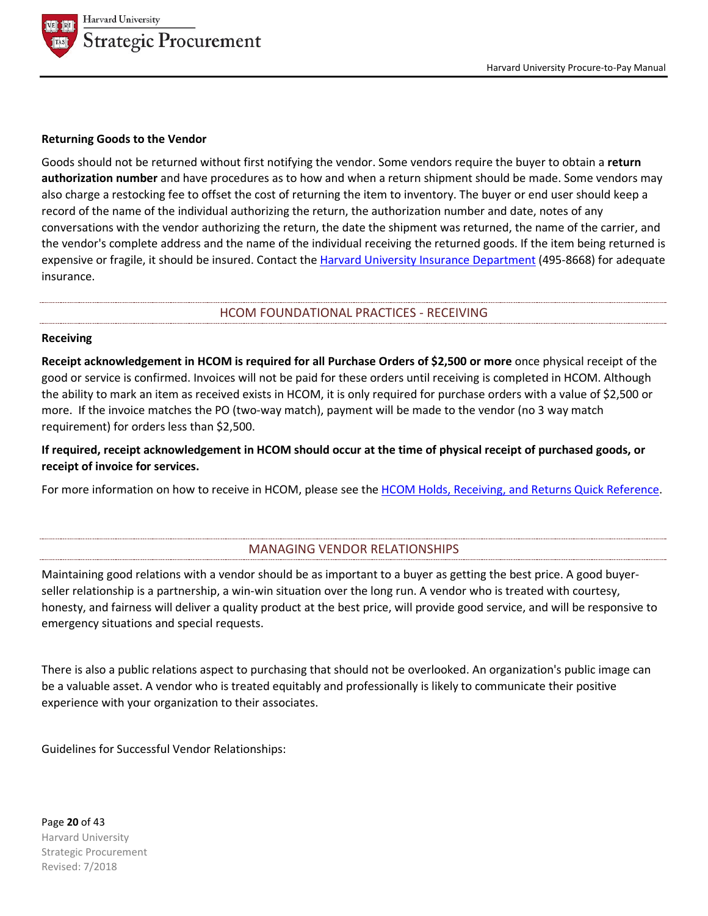

#### **Returning Goods to the Vendor**

Goods should not be returned without first notifying the vendor. Some vendors require the buyer to obtain a **return authorization number** and have procedures as to how and when a return shipment should be made. Some vendors may also charge a restocking fee to offset the cost of returning the item to inventory. The buyer or end user should keep a record of the name of the individual authorizing the return, the authorization number and date, notes of any conversations with the vendor authorizing the return, the date the shipment was returned, the name of the carrier, and the vendor's complete address and the name of the individual receiving the returned goods. If the item being returned is expensive or fragile, it should be insured. Contact the Harvard University Insurance Department (495-8668) for adequate insurance.

#### HCOM FOUNDATIONAL PRACTICES - RECEIVING

#### **Receiving**

**Receipt acknowledgement in HCOM is required for all Purchase Orders of \$2,500 or more** once physical receipt of the good or service is confirmed. Invoices will not be paid for these orders until receiving is completed in HCOM. Although the ability to mark an item as received exists in HCOM, it is only required for purchase orders with a value of \$2,500 or more. If the invoice matches the PO (two-way match), payment will be made to the vendor (no 3 way match requirement) for orders less than \$2,500.

**If required, receipt acknowledgement in HCOM should occur at the time of physical receipt of purchased goods, or receipt of invoice for services.**

For more information on how to receive in HCOM, please see the HCOM Holds, Receiving, and Returns Quick Reference.

# MANAGING VENDOR RELATIONSHIPS

Maintaining good relations with a vendor should be as important to a buyer as getting the best price. A good buyerseller relationship is a partnership, a win-win situation over the long run. A vendor who is treated with courtesy, honesty, and fairness will deliver a quality product at the best price, will provide good service, and will be responsive to emergency situations and special requests.

There is also a public relations aspect to purchasing that should not be overlooked. An organization's public image can be a valuable asset. A vendor who is treated equitably and professionally is likely to communicate their positive experience with your organization to their associates.

Guidelines for Successful Vendor Relationships:

Page **20** of 43 Harvard University Strategic Procurement Revised: 7/2018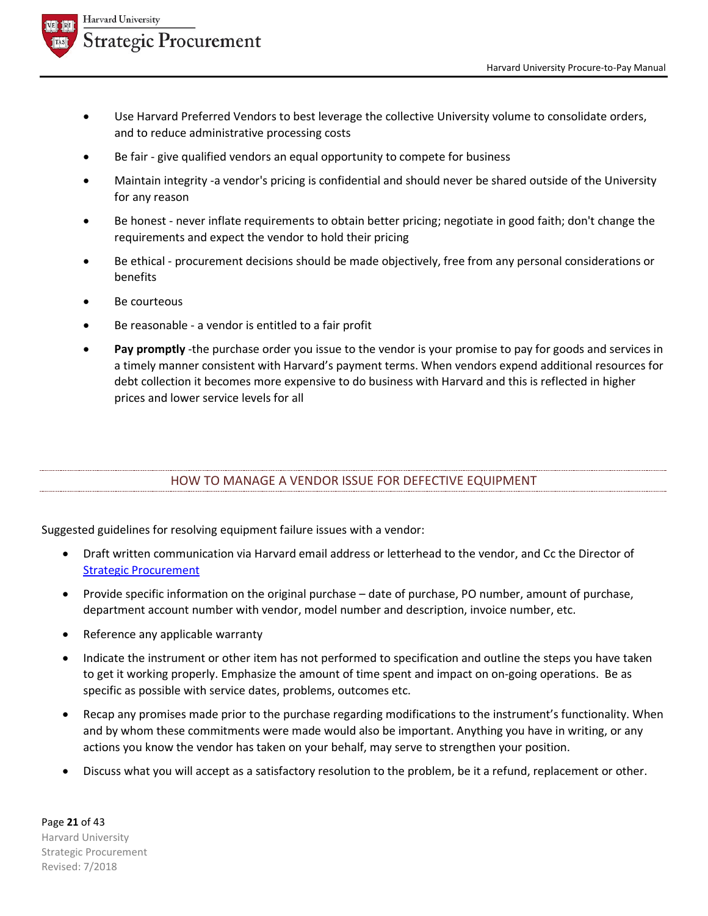



- Use Harvard Preferred Vendors to best leverage the collective University volume to consolidate orders, and to reduce administrative processing costs
- Be fair give qualified vendors an equal opportunity to compete for business
- Maintain integrity -a vendor's pricing is confidential and should never be shared outside of the University for any reason
- Be honest never inflate requirements to obtain better pricing; negotiate in good faith; don't change the requirements and expect the vendor to hold their pricing
- Be ethical procurement decisions should be made objectively, free from any personal considerations or benefits
- Be courteous
- Be reasonable a vendor is entitled to a fair profit
- Pay promptly -the purchase order you issue to the vendor is your promise to pay for goods and services in a timely manner consistent with Harvard's payment terms. When vendors expend additional resources for debt collection it becomes more expensive to do business with Harvard and this is reflected in higher prices and lower service levels for all

# HOW TO MANAGE A VENDOR ISSUE FOR DEFECTIVE EQUIPMENT

Suggested guidelines for resolving equipment failure issues with a vendor:

- Draft written communication via Harvard email address or letterhead to the vendor, and Cc the Director of Strategic Procurement
- Provide specific information on the original purchase date of purchase, PO number, amount of purchase, department account number with vendor, model number and description, invoice number, etc.
- Reference any applicable warranty
- Indicate the instrument or other item has not performed to specification and outline the steps you have taken to get it working properly. Emphasize the amount of time spent and impact on on-going operations. Be as specific as possible with service dates, problems, outcomes etc.
- Recap any promises made prior to the purchase regarding modifications to the instrument's functionality. When and by whom these commitments were made would also be important. Anything you have in writing, or any actions you know the vendor has taken on your behalf, may serve to strengthen your position.
- Discuss what you will accept as a satisfactory resolution to the problem, be it a refund, replacement or other.

Page **21** of 43 Harvard University Strategic Procurement Revised: 7/2018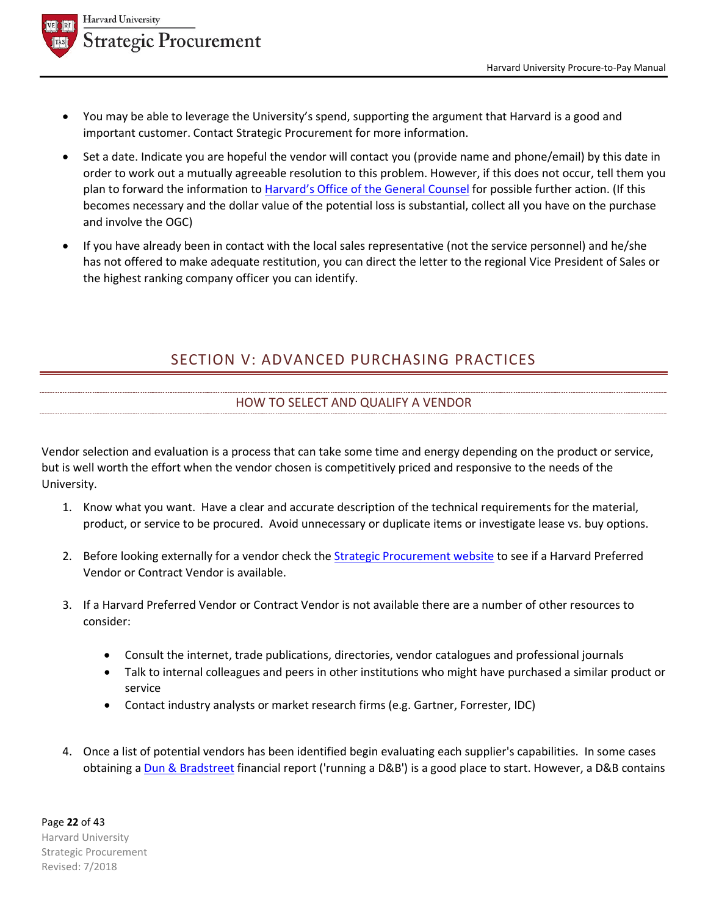

- You may be able to leverage the University's spend, supporting the argument that Harvard is a good and important customer. Contact Strategic Procurement for more information.
- Set a date. Indicate you are hopeful the vendor will contact you (provide name and phone/email) by this date in order to work out a mutually agreeable resolution to this problem. However, if this does not occur, tell them you plan to forward the information to Harvard's Office of the General Counsel for possible further action. (If this becomes necessary and the dollar value of the potential loss is substantial, collect all you have on the purchase and involve the OGC)
- If you have already been in contact with the local sales representative (not the service personnel) and he/she has not offered to make adequate restitution, you can direct the letter to the regional Vice President of Sales or the highest ranking company officer you can identify.

# SECTION V: ADVANCED PURCHASING PRACTICES

# HOW TO SELECT AND QUALIFY A VENDOR

Vendor selection and evaluation is a process that can take some time and energy depending on the product or service, but is well worth the effort when the vendor chosen is competitively priced and responsive to the needs of the University.

- 1. Know what you want. Have a clear and accurate description of the technical requirements for the material, product, or service to be procured. Avoid unnecessary or duplicate items or investigate lease vs. buy options.
- 2. Before looking externally for a vendor check the **Strategic Procurement website to see if a Harvard Preferred** Vendor or Contract Vendor is available.
- 3. If a Harvard Preferred Vendor or Contract Vendor is not available there are a number of other resources to consider:
	- Consult the internet, trade publications, directories, vendor catalogues and professional journals
	- Talk to internal colleagues and peers in other institutions who might have purchased a similar product or service
	- Contact industry analysts or market research firms (e.g. Gartner, Forrester, IDC)
- 4. Once a list of potential vendors has been identified begin evaluating each supplier's capabilities. In some cases obtaining a Dun & Bradstreet financial report ('running a D&B') is a good place to start. However, a D&B contains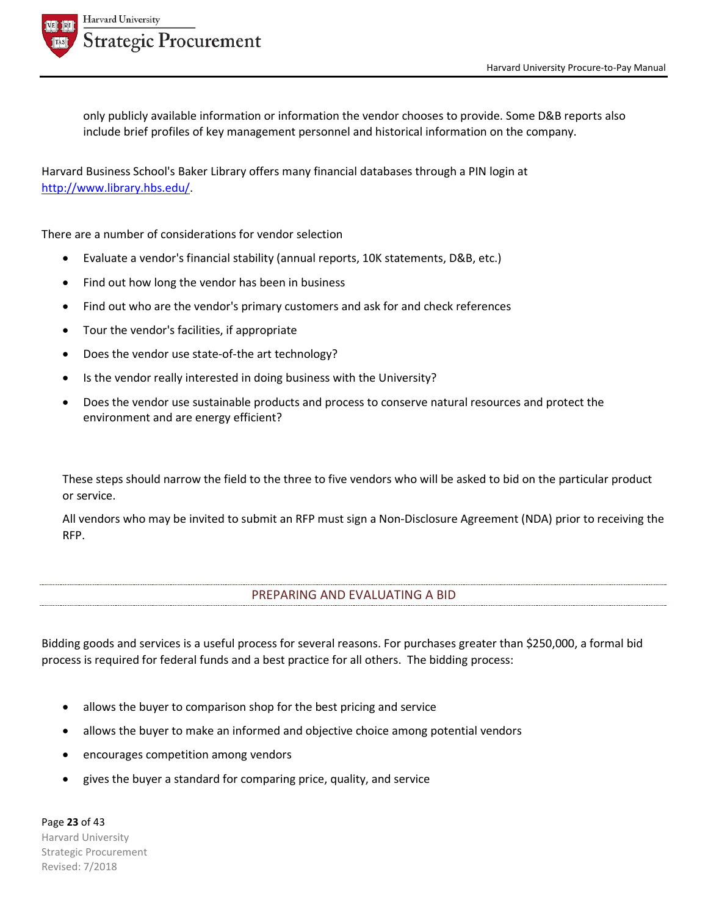

**Harvard University Strategic Procurement** 

> only publicly available information or information the vendor chooses to provide. Some D&B reports also include brief profiles of key management personnel and historical information on the company.

Harvard Business School's Baker Library offers many financial databases through a PIN login at http://www.library.hbs.edu/.

There are a number of considerations for vendor selection

- Evaluate a vendor's financial stability (annual reports, 10K statements, D&B, etc.)
- Find out how long the vendor has been in business
- Find out who are the vendor's primary customers and ask for and check references
- Tour the vendor's facilities, if appropriate
- Does the vendor use state-of-the art technology?
- Is the vendor really interested in doing business with the University?
- Does the vendor use sustainable products and process to conserve natural resources and protect the environment and are energy efficient?

These steps should narrow the field to the three to five vendors who will be asked to bid on the particular product or service.

All vendors who may be invited to submit an RFP must sign a Non-Disclosure Agreement (NDA) prior to receiving the RFP.

# PREPARING AND EVALUATING A BID

Bidding goods and services is a useful process for several reasons. For purchases greater than \$250,000, a formal bid process is required for federal funds and a best practice for all others. The bidding process:

- allows the buyer to comparison shop for the best pricing and service
- allows the buyer to make an informed and objective choice among potential vendors
- encourages competition among vendors
- gives the buyer a standard for comparing price, quality, and service

Page **23** of 43 Harvard University Strategic Procurement Revised: 7/2018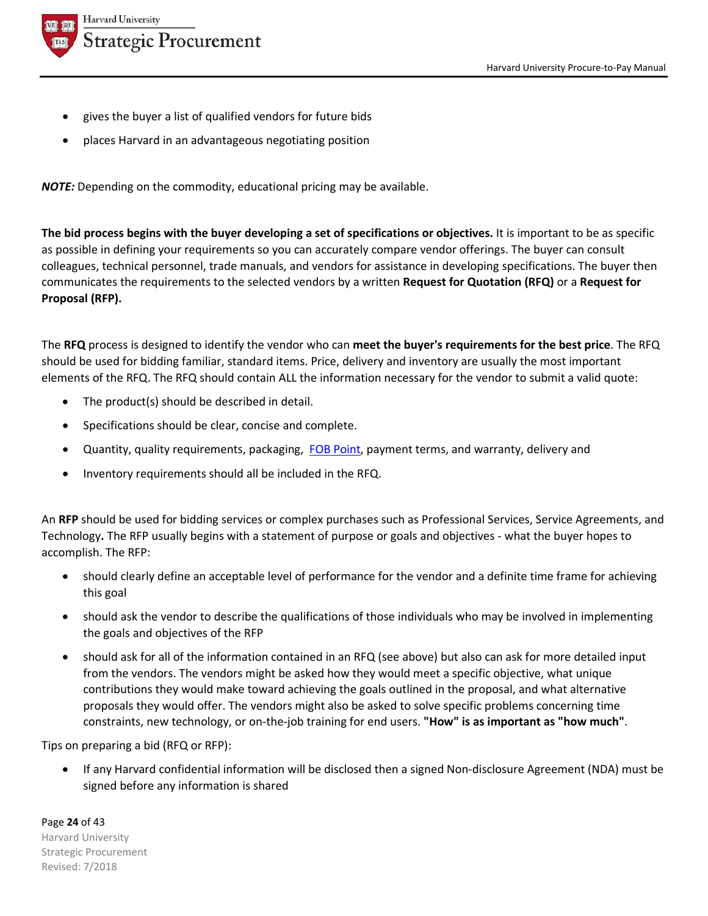

- gives the buyer a list of qualified vendors for future bids
- places Harvard in an advantageous negotiating position

*NOTE:* Depending on the commodity, educational pricing may be available.

**The bid process begins with the buyer developing a set of specifications or objectives.** It is important to be as specific as possible in defining your requirements so you can accurately compare vendor offerings. The buyer can consult colleagues, technical personnel, trade manuals, and vendors for assistance in developing specifications. The buyer then communicates the requirements to the selected vendors by a written **Request for Quotation (RFQ)** or a **Request for Proposal (RFP).**

The **RFQ** process is designed to identify the vendor who can **meet the buyer's requirements for the best price**. The RFQ should be used for bidding familiar, standard items. Price, delivery and inventory are usually the most important elements of the RFQ. The RFQ should contain ALL the information necessary for the vendor to submit a valid quote:

- The product(s) should be described in detail.
- Specifications should be clear, concise and complete.
- Quantity, quality requirements, packaging, FOB Point, payment terms, and warranty, delivery and
- Inventory requirements should all be included in the RFQ.

An **RFP** should be used for bidding services or complex purchases such as Professional Services, Service Agreements, and Technology**.** The RFP usually begins with a statement of purpose or goals and objectives - what the buyer hopes to accomplish. The RFP:

- should clearly define an acceptable level of performance for the vendor and a definite time frame for achieving this goal
- should ask the vendor to describe the qualifications of those individuals who may be involved in implementing the goals and objectives of the RFP
- should ask for all of the information contained in an RFQ (see above) but also can ask for more detailed input from the vendors. The vendors might be asked how they would meet a specific objective, what unique contributions they would make toward achieving the goals outlined in the proposal, and what alternative proposals they would offer. The vendors might also be asked to solve specific problems concerning time constraints, new technology, or on-the-job training for end users. **"How" is as important as "how much"**.

Tips on preparing a bid (RFQ or RFP):

• If any Harvard confidential information will be disclosed then a signed Non-disclosure Agreement (NDA) must be signed before any information is shared

Page **24** of 43 Harvard University Strategic Procurement Revised: 7/2018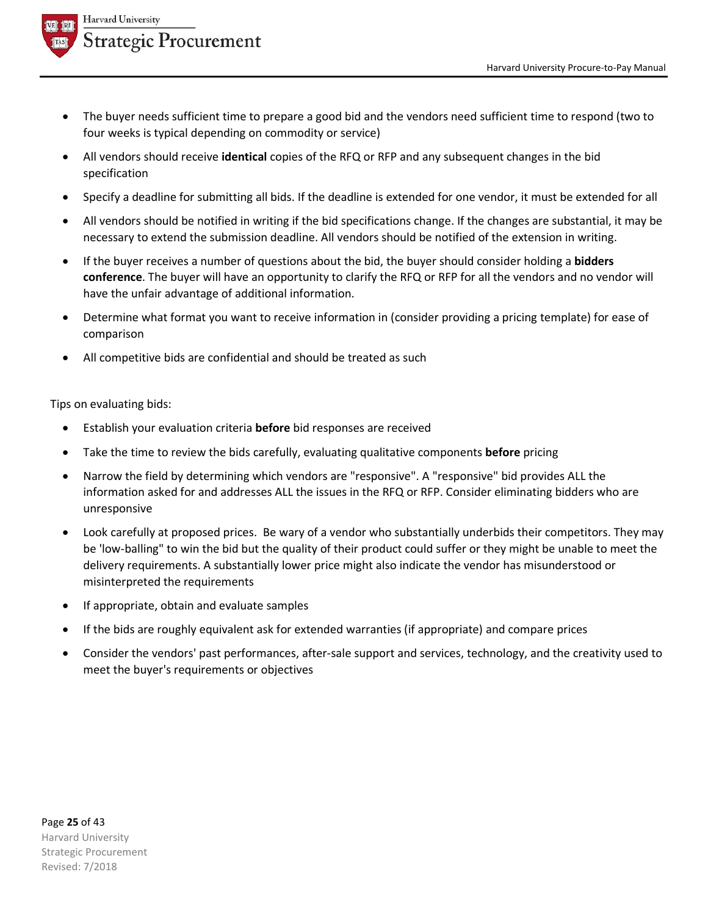

- The buyer needs sufficient time to prepare a good bid and the vendors need sufficient time to respond (two to four weeks is typical depending on commodity or service)
- All vendors should receive **identical** copies of the RFQ or RFP and any subsequent changes in the bid specification
- Specify a deadline for submitting all bids. If the deadline is extended for one vendor, it must be extended for all
- All vendors should be notified in writing if the bid specifications change. If the changes are substantial, it may be necessary to extend the submission deadline. All vendors should be notified of the extension in writing.
- If the buyer receives a number of questions about the bid, the buyer should consider holding a **bidders conference**. The buyer will have an opportunity to clarify the RFQ or RFP for all the vendors and no vendor will have the unfair advantage of additional information.
- Determine what format you want to receive information in (consider providing a pricing template) for ease of comparison
- All competitive bids are confidential and should be treated as such

Tips on evaluating bids:

- Establish your evaluation criteria **before** bid responses are received
- Take the time to review the bids carefully, evaluating qualitative components **before** pricing
- Narrow the field by determining which vendors are "responsive". A "responsive" bid provides ALL the information asked for and addresses ALL the issues in the RFQ or RFP. Consider eliminating bidders who are unresponsive
- Look carefully at proposed prices. Be wary of a vendor who substantially underbids their competitors. They may be 'low-balling" to win the bid but the quality of their product could suffer or they might be unable to meet the delivery requirements. A substantially lower price might also indicate the vendor has misunderstood or misinterpreted the requirements
- If appropriate, obtain and evaluate samples
- If the bids are roughly equivalent ask for extended warranties (if appropriate) and compare prices
- Consider the vendors' past performances, after-sale support and services, technology, and the creativity used to meet the buyer's requirements or objectives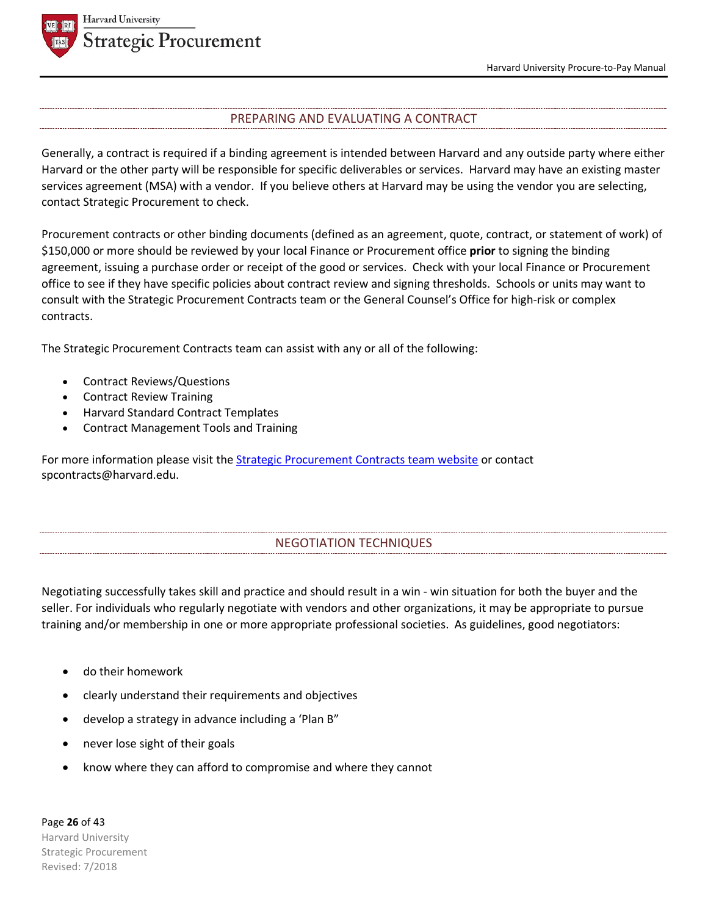

## PREPARING AND EVALUATING A CONTRACT

Generally, a contract is required if a binding agreement is intended between Harvard and any outside party where either Harvard or the other party will be responsible for specific deliverables or services. Harvard may have an existing master services agreement (MSA) with a vendor. If you believe others at Harvard may be using the vendor you are selecting, contact Strategic Procurement to check.

Procurement contracts or other binding documents (defined as an agreement, quote, contract, or statement of work) of \$150,000 or more should be reviewed by your local Finance or Procurement office **prior** to signing the binding agreement, issuing a purchase order or receipt of the good or services. Check with your local Finance or Procurement office to see if they have specific policies about contract review and signing thresholds. Schools or units may want to consult with the Strategic Procurement Contracts team or the General Counsel's Office for high-risk or complex contracts.

The Strategic Procurement Contracts team can assist with any or all of the following:

- Contract Reviews/Questions
- Contract Review Training
- Harvard Standard Contract Templates
- Contract Management Tools and Training

For more information please visit the **Strategic Procurement Contracts team website** or contact spcontracts@harvard.edu.

## NEGOTIATION TECHNIQUES

Negotiating successfully takes skill and practice and should result in a win - win situation for both the buyer and the seller. For individuals who regularly negotiate with vendors and other organizations, it may be appropriate to pursue training and/or membership in one or more appropriate professional societies. As guidelines, good negotiators:

- do their homework
- clearly understand their requirements and objectives
- develop a strategy in advance including a 'Plan B"
- never lose sight of their goals
- know where they can afford to compromise and where they cannot

Page **26** of 43 Harvard University Strategic Procurement Revised: 7/2018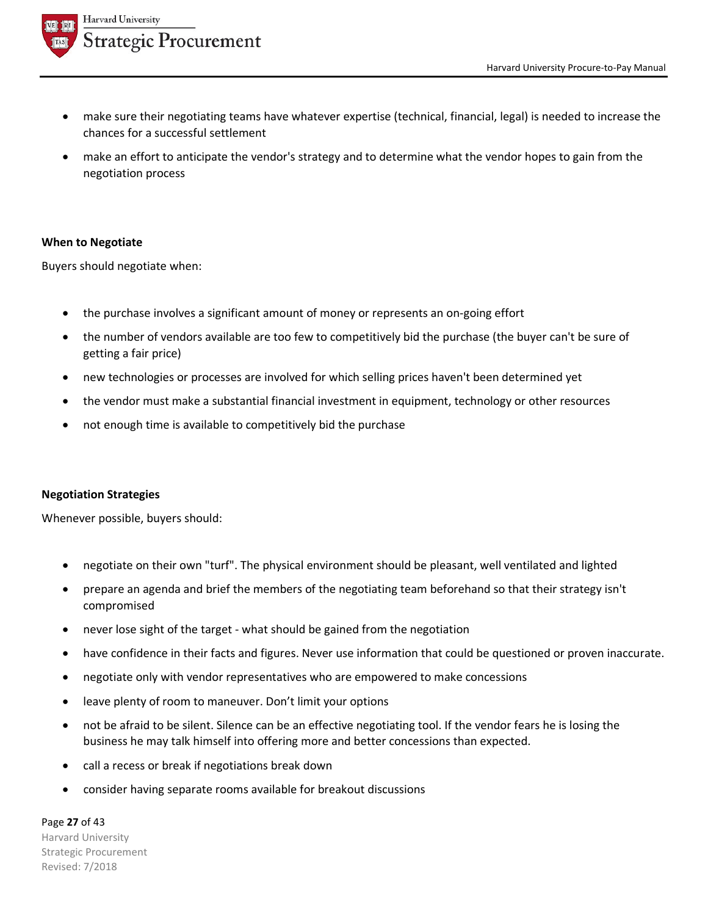

- make sure their negotiating teams have whatever expertise (technical, financial, legal) is needed to increase the chances for a successful settlement
- make an effort to anticipate the vendor's strategy and to determine what the vendor hopes to gain from the negotiation process

## **When to Negotiate**

Buyers should negotiate when:

- the purchase involves a significant amount of money or represents an on-going effort
- the number of vendors available are too few to competitively bid the purchase (the buyer can't be sure of getting a fair price)
- new technologies or processes are involved for which selling prices haven't been determined yet
- the vendor must make a substantial financial investment in equipment, technology or other resources
- not enough time is available to competitively bid the purchase

## **Negotiation Strategies**

Whenever possible, buyers should:

- negotiate on their own "turf". The physical environment should be pleasant, well ventilated and lighted
- prepare an agenda and brief the members of the negotiating team beforehand so that their strategy isn't compromised
- never lose sight of the target what should be gained from the negotiation
- have confidence in their facts and figures. Never use information that could be questioned or proven inaccurate.
- negotiate only with vendor representatives who are empowered to make concessions
- leave plenty of room to maneuver. Don't limit your options
- not be afraid to be silent. Silence can be an effective negotiating tool. If the vendor fears he is losing the business he may talk himself into offering more and better concessions than expected.
- call a recess or break if negotiations break down
- consider having separate rooms available for breakout discussions

Page **27** of 43 Harvard University Strategic Procurement Revised: 7/2018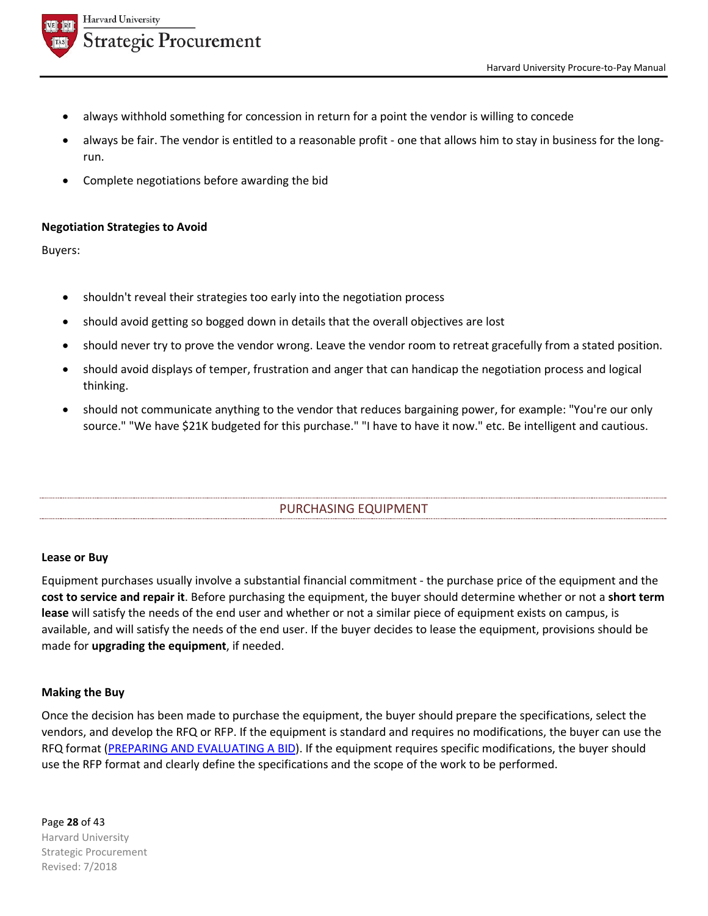



- always withhold something for concession in return for a point the vendor is willing to concede
- always be fair. The vendor is entitled to a reasonable profit one that allows him to stay in business for the longrun.
- Complete negotiations before awarding the bid

# **Negotiation Strategies to Avoid**

Buyers:

- shouldn't reveal their strategies too early into the negotiation process
- should avoid getting so bogged down in details that the overall objectives are lost
- should never try to prove the vendor wrong. Leave the vendor room to retreat gracefully from a stated position.
- should avoid displays of temper, frustration and anger that can handicap the negotiation process and logical thinking.
- should not communicate anything to the vendor that reduces bargaining power, for example: "You're our only source." "We have \$21K budgeted for this purchase." "I have to have it now." etc. Be intelligent and cautious.

# PURCHASING EQUIPMENT

## **Lease or Buy**

Equipment purchases usually involve a substantial financial commitment - the purchase price of the equipment and the **cost to service and repair it**. Before purchasing the equipment, the buyer should determine whether or not a **short term lease** will satisfy the needs of the end user and whether or not a similar piece of equipment exists on campus, is available, and will satisfy the needs of the end user. If the buyer decides to lease the equipment, provisions should be made for **upgrading the equipment**, if needed.

## **Making the Buy**

Once the decision has been made to purchase the equipment, the buyer should prepare the specifications, select the vendors, and develop the RFQ or RFP. If the equipment is standard and requires no modifications, the buyer can use the RFQ format (PREPARING AND EVALUATING A BID). If the equipment requires specific modifications, the buyer should use the RFP format and clearly define the specifications and the scope of the work to be performed.

## Page **28** of 43 Harvard University Strategic Procurement Revised: 7/2018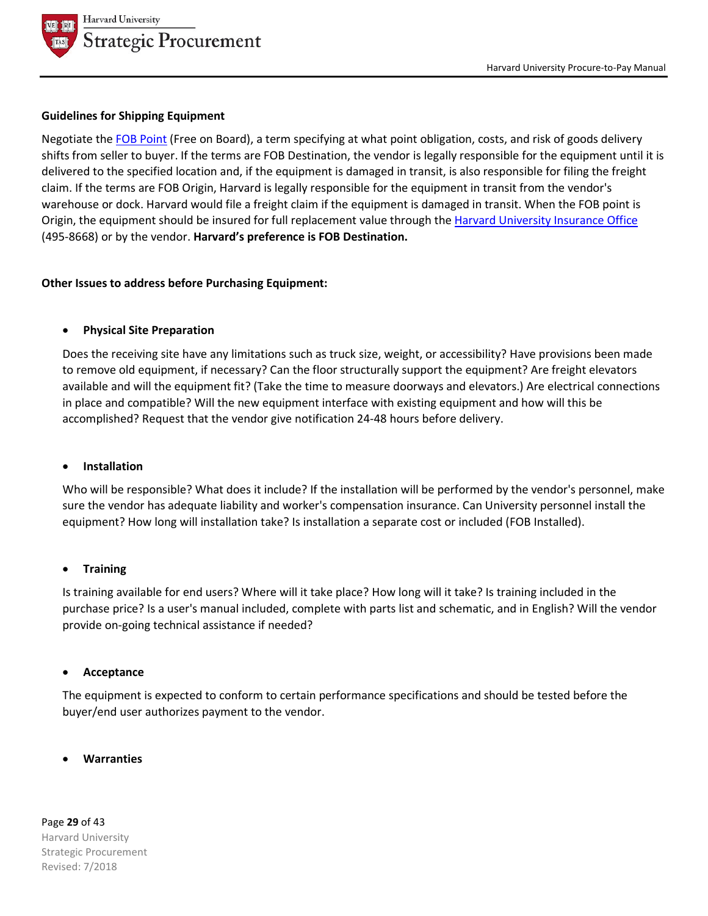

#### **Guidelines for Shipping Equipment**

Negotiate the FOB Point (Free on Board), a term specifying at what point obligation, costs, and risk of goods delivery shifts from seller to buyer. If the terms are FOB Destination, the vendor is legally responsible for the equipment until it is delivered to the specified location and, if the equipment is damaged in transit, is also responsible for filing the freight claim. If the terms are FOB Origin, Harvard is legally responsible for the equipment in transit from the vendor's warehouse or dock. Harvard would file a freight claim if the equipment is damaged in transit. When the FOB point is Origin, the equipment should be insured for full replacement value through the Harvard University Insurance Office (495-8668) or by the vendor. **Harvard's preference is FOB Destination.**

## **Other Issues to address before Purchasing Equipment:**

#### • **Physical Site Preparation**

Does the receiving site have any limitations such as truck size, weight, or accessibility? Have provisions been made to remove old equipment, if necessary? Can the floor structurally support the equipment? Are freight elevators available and will the equipment fit? (Take the time to measure doorways and elevators.) Are electrical connections in place and compatible? Will the new equipment interface with existing equipment and how will this be accomplished? Request that the vendor give notification 24-48 hours before delivery.

#### • **Installation**

Who will be responsible? What does it include? If the installation will be performed by the vendor's personnel, make sure the vendor has adequate liability and worker's compensation insurance. Can University personnel install the equipment? How long will installation take? Is installation a separate cost or included (FOB Installed).

#### • **Training**

Is training available for end users? Where will it take place? How long will it take? Is training included in the purchase price? Is a user's manual included, complete with parts list and schematic, and in English? Will the vendor provide on-going technical assistance if needed?

#### • **Acceptance**

The equipment is expected to conform to certain performance specifications and should be tested before the buyer/end user authorizes payment to the vendor.

#### • **Warranties**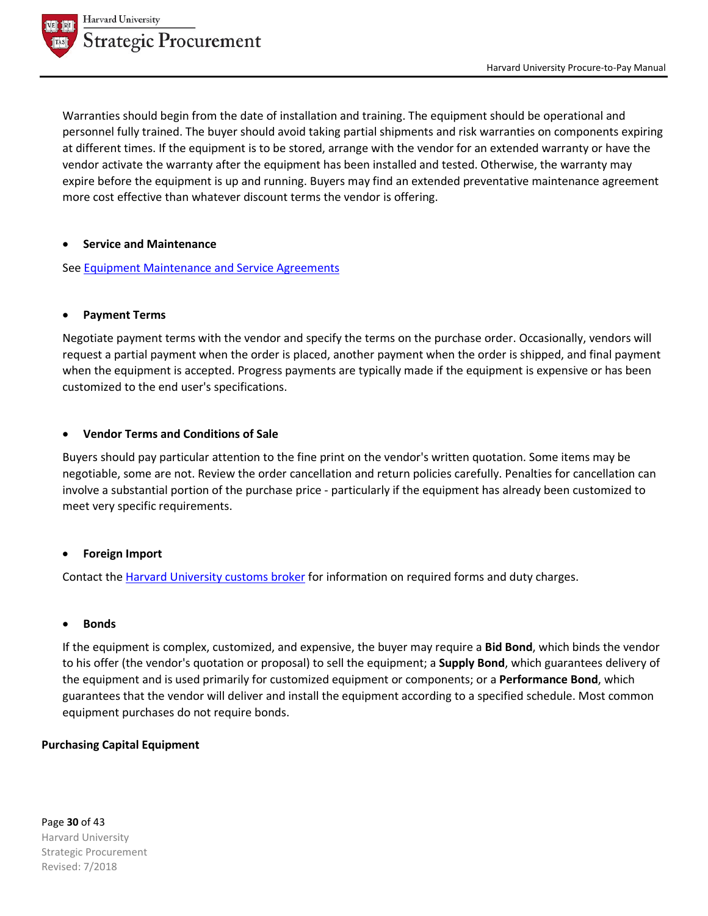

Warranties should begin from the date of installation and training. The equipment should be operational and personnel fully trained. The buyer should avoid taking partial shipments and risk warranties on components expiring at different times. If the equipment is to be stored, arrange with the vendor for an extended warranty or have the vendor activate the warranty after the equipment has been installed and tested. Otherwise, the warranty may expire before the equipment is up and running. Buyers may find an extended preventative maintenance agreement more cost effective than whatever discount terms the vendor is offering.

#### • **Service and Maintenance**

See Equipment Maintenance and Service Agreements

#### • **Payment Terms**

Negotiate payment terms with the vendor and specify the terms on the purchase order. Occasionally, vendors will request a partial payment when the order is placed, another payment when the order is shipped, and final payment when the equipment is accepted. Progress payments are typically made if the equipment is expensive or has been customized to the end user's specifications.

#### • **Vendor Terms and Conditions of Sale**

Buyers should pay particular attention to the fine print on the vendor's written quotation. Some items may be negotiable, some are not. Review the order cancellation and return policies carefully. Penalties for cancellation can involve a substantial portion of the purchase price - particularly if the equipment has already been customized to meet very specific requirements.

#### • **Foreign Import**

Contact the Harvard University customs broker for information on required forms and duty charges.

#### • **Bonds**

If the equipment is complex, customized, and expensive, the buyer may require a **Bid Bond**, which binds the vendor to his offer (the vendor's quotation or proposal) to sell the equipment; a **Supply Bond**, which guarantees delivery of the equipment and is used primarily for customized equipment or components; or a **Performance Bond**, which guarantees that the vendor will deliver and install the equipment according to a specified schedule. Most common equipment purchases do not require bonds.

#### **Purchasing Capital Equipment**

Page **30** of 43 Harvard University Strategic Procurement Revised: 7/2018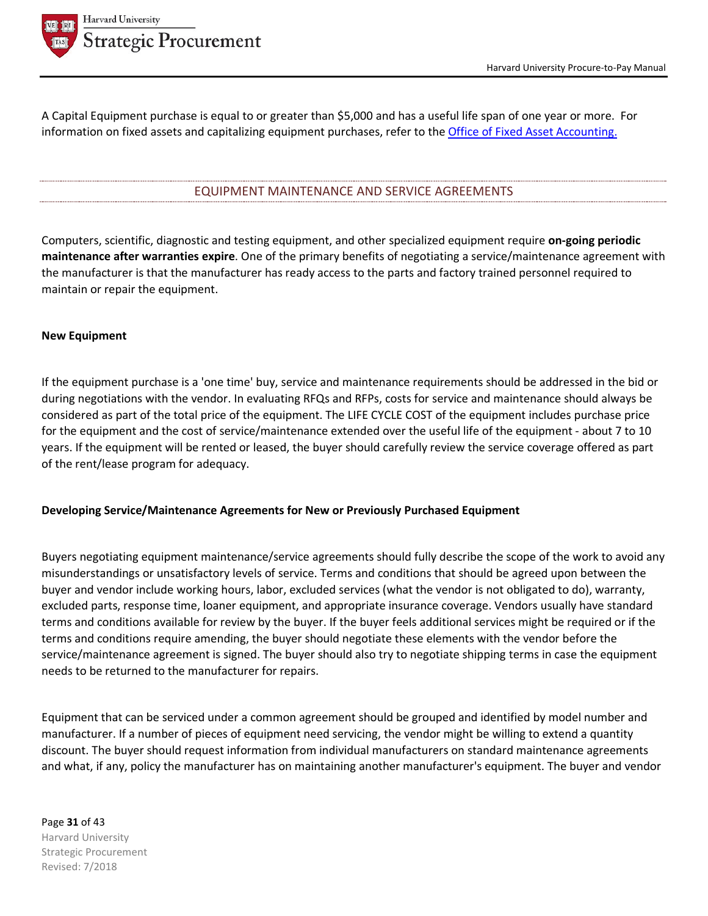

A Capital Equipment purchase is equal to or greater than \$5,000 and has a useful life span of one year or more. For information on fixed assets and capitalizing equipment purchases, refer to the Office of Fixed Asset Accounting.

## EQUIPMENT MAINTENANCE AND SERVICE AGREEMENTS

Computers, scientific, diagnostic and testing equipment, and other specialized equipment require **on-going periodic maintenance after warranties expire**. One of the primary benefits of negotiating a service/maintenance agreement with the manufacturer is that the manufacturer has ready access to the parts and factory trained personnel required to maintain or repair the equipment.

#### **New Equipment**

If the equipment purchase is a 'one time' buy, service and maintenance requirements should be addressed in the bid or during negotiations with the vendor. In evaluating RFQs and RFPs, costs for service and maintenance should always be considered as part of the total price of the equipment. The LIFE CYCLE COST of the equipment includes purchase price for the equipment and the cost of service/maintenance extended over the useful life of the equipment - about 7 to 10 years. If the equipment will be rented or leased, the buyer should carefully review the service coverage offered as part of the rent/lease program for adequacy.

#### **Developing Service/Maintenance Agreements for New or Previously Purchased Equipment**

Buyers negotiating equipment maintenance/service agreements should fully describe the scope of the work to avoid any misunderstandings or unsatisfactory levels of service. Terms and conditions that should be agreed upon between the buyer and vendor include working hours, labor, excluded services (what the vendor is not obligated to do), warranty, excluded parts, response time, loaner equipment, and appropriate insurance coverage. Vendors usually have standard terms and conditions available for review by the buyer. If the buyer feels additional services might be required or if the terms and conditions require amending, the buyer should negotiate these elements with the vendor before the service/maintenance agreement is signed. The buyer should also try to negotiate shipping terms in case the equipment needs to be returned to the manufacturer for repairs.

Equipment that can be serviced under a common agreement should be grouped and identified by model number and manufacturer. If a number of pieces of equipment need servicing, the vendor might be willing to extend a quantity discount. The buyer should request information from individual manufacturers on standard maintenance agreements and what, if any, policy the manufacturer has on maintaining another manufacturer's equipment. The buyer and vendor

Page **31** of 43 Harvard University Strategic Procurement Revised: 7/2018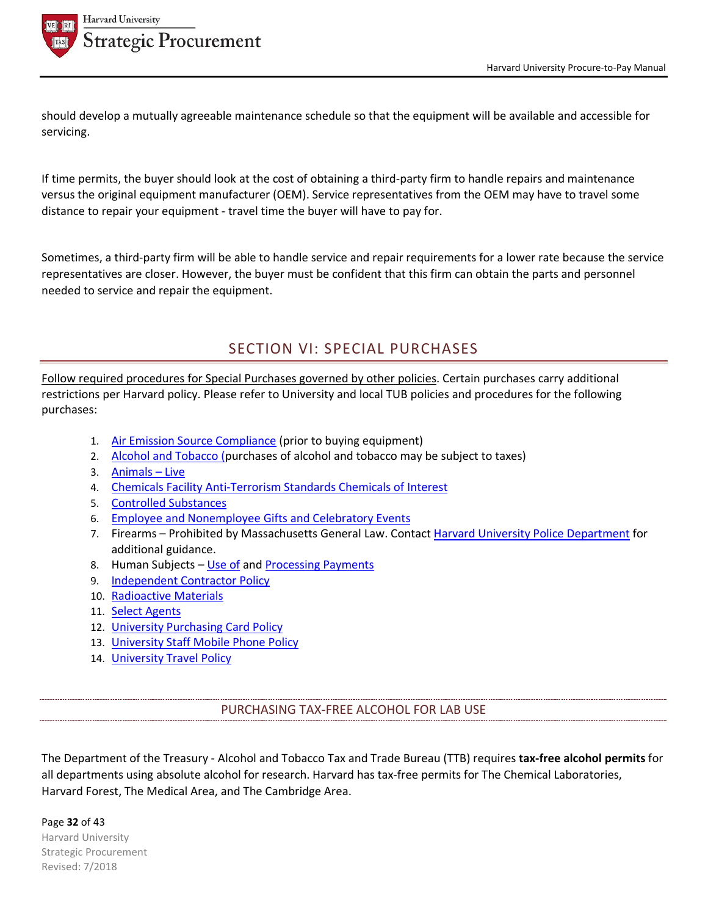

should develop a mutually agreeable maintenance schedule so that the equipment will be available and accessible for servicing.

If time permits, the buyer should look at the cost of obtaining a third-party firm to handle repairs and maintenance versus the original equipment manufacturer (OEM). Service representatives from the OEM may have to travel some distance to repair your equipment - travel time the buyer will have to pay for.

Sometimes, a third-party firm will be able to handle service and repair requirements for a lower rate because the service representatives are closer. However, the buyer must be confident that this firm can obtain the parts and personnel needed to service and repair the equipment.

# SECTION VI: SPECIAL PURCHASES

Follow required procedures for Special Purchases governed by other policies. Certain purchases carry additional restrictions per Harvard policy. Please refer to University and local TUB policies and procedures for the following purchases:

- 1. Air Emission Source Compliance (prior to buying equipment)
- 2. Alcohol and Tobacco (purchases of alcohol and tobacco may be subject to taxes)
- 3. Animals Live
- 4. Chemicals Facility Anti-Terrorism Standards Chemicals of Interest
- 5. Controlled Substances
- 6. Employee and Nonemployee Gifts and Celebratory Events
- 7. Firearms Prohibited by Massachusetts General Law. Contact Harvard University Police Department for additional guidance.
- 8. Human Subjects Use of and Processing Payments
- 9. Independent Contractor Policy
- 10. Radioactive Materials
- 11. Select Agents
- 12. University Purchasing Card Policy
- 13. University Staff Mobile Phone Policy
- 14. University Travel Policy

PURCHASING TAX-FREE ALCOHOL FOR LAB USE

The Department of the Treasury - Alcohol and Tobacco Tax and Trade Bureau (TTB) requires **tax-free alcohol permits** for all departments using absolute alcohol for research. Harvard has tax-free permits for The Chemical Laboratories, Harvard Forest, The Medical Area, and The Cambridge Area.

Page **32** of 43 Harvard University Strategic Procurement Revised: 7/2018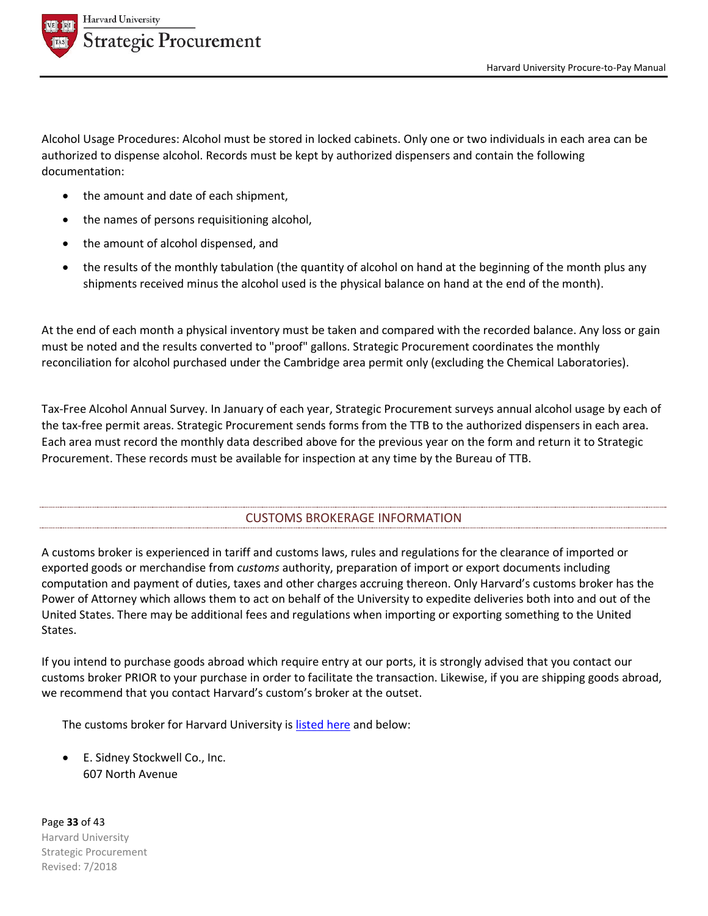

Alcohol Usage Procedures: Alcohol must be stored in locked cabinets. Only one or two individuals in each area can be authorized to dispense alcohol. Records must be kept by authorized dispensers and contain the following documentation:

- the amount and date of each shipment,
- the names of persons requisitioning alcohol,
- the amount of alcohol dispensed, and
- the results of the monthly tabulation (the quantity of alcohol on hand at the beginning of the month plus any shipments received minus the alcohol used is the physical balance on hand at the end of the month).

At the end of each month a physical inventory must be taken and compared with the recorded balance. Any loss or gain must be noted and the results converted to "proof" gallons. Strategic Procurement coordinates the monthly reconciliation for alcohol purchased under the Cambridge area permit only (excluding the Chemical Laboratories).

Tax-Free Alcohol Annual Survey. In January of each year, Strategic Procurement surveys annual alcohol usage by each of the tax-free permit areas. Strategic Procurement sends forms from the TTB to the authorized dispensers in each area. Each area must record the monthly data described above for the previous year on the form and return it to Strategic Procurement. These records must be available for inspection at any time by the Bureau of TTB.

# CUSTOMS BROKERAGE INFORMATION

A customs broker is experienced in tariff and customs laws, rules and regulations for the clearance of imported or exported goods or merchandise from *customs* authority, preparation of import or export documents including computation and payment of duties, taxes and other charges accruing thereon. Only Harvard's customs broker has the Power of Attorney which allows them to act on behalf of the University to expedite deliveries both into and out of the United States. There may be additional fees and regulations when importing or exporting something to the United States.

If you intend to purchase goods abroad which require entry at our ports, it is strongly advised that you contact our customs broker PRIOR to your purchase in order to facilitate the transaction. Likewise, if you are shipping goods abroad, we recommend that you contact Harvard's custom's broker at the outset.

The customs broker for Harvard University is listed here and below:

• E. Sidney Stockwell Co., Inc. 607 North Avenue

Page **33** of 43 Harvard University Strategic Procurement Revised: 7/2018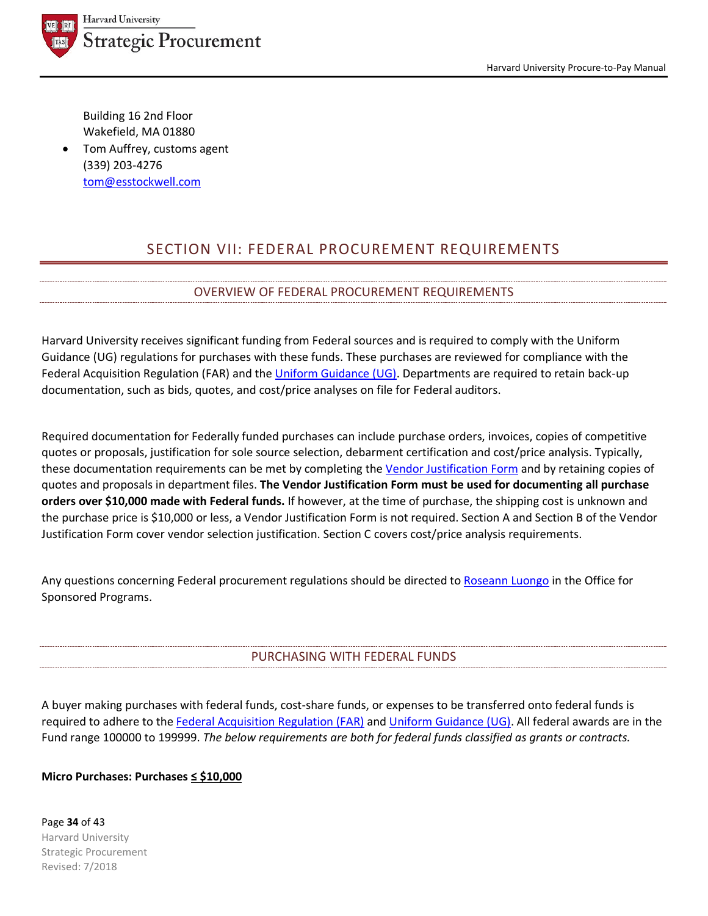

Harvard University Procure-to-Pay Manual

Building 16 2nd Floor Wakefield, MA 01880

• Tom Auffrey, customs agent (339) 203-4276 tom@esstockwell.com

# SECTION VII: FEDERAL PROCUREMENT REQUIREMENTS

# OVERVIEW OF FEDERAL PROCUREMENT REQUIREMENTS

Harvard University receives significant funding from Federal sources and is required to comply with the Uniform Guidance (UG) regulations for purchases with these funds. These purchases are reviewed for compliance with the Federal Acquisition Regulation (FAR) and the Uniform Guidance (UG). Departments are required to retain back-up documentation, such as bids, quotes, and cost/price analyses on file for Federal auditors.

Required documentation for Federally funded purchases can include purchase orders, invoices, copies of competitive quotes or proposals, justification for sole source selection, debarment certification and cost/price analysis. Typically, these documentation requirements can be met by completing the Vendor Justification Form and by retaining copies of quotes and proposals in department files. **The Vendor Justification Form must be used for documenting all purchase orders over \$10,000 made with Federal funds.** If however, at the time of purchase, the shipping cost is unknown and the purchase price is \$10,000 or less, a Vendor Justification Form is not required. Section A and Section B of the Vendor Justification Form cover vendor selection justification. Section C covers cost/price analysis requirements.

Any questions concerning Federal procurement regulations should be directed to Roseann Luongo in the Office for Sponsored Programs.

# PURCHASING WITH FEDERAL FUNDS

A buyer making purchases with federal funds, cost-share funds, or expenses to be transferred onto federal funds is required to adhere to the Federal Acquisition Regulation (FAR) and Uniform Guidance (UG). All federal awards are in the Fund range 100000 to 199999. *The below requirements are both for federal funds classified as grants or contracts.*

# **Micro Purchases: Purchases ≤ \$10,000**

Page **34** of 43 Harvard University Strategic Procurement Revised: 7/2018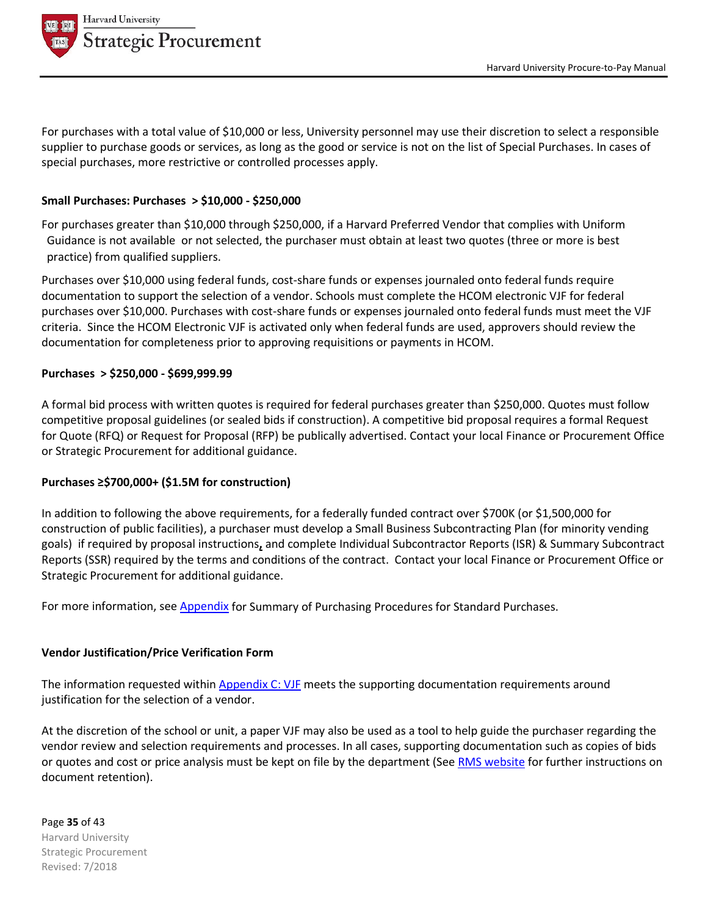

For purchases with a total value of \$10,000 or less, University personnel may use their discretion to select a responsible supplier to purchase goods or services, as long as the good or service is not on the list of Special Purchases. In cases of special purchases, more restrictive or controlled processes apply.

## **Small Purchases: Purchases > \$10,000 - \$250,000**

For purchases greater than \$10,000 through \$250,000, if a Harvard Preferred Vendor that complies with Uniform Guidance is not available or not selected, the purchaser must obtain at least two quotes (three or more is best practice) from qualified suppliers.

Purchases over \$10,000 using federal funds, cost-share funds or expenses journaled onto federal funds require documentation to support the selection of a vendor. Schools must complete the HCOM electronic VJF for federal purchases over \$10,000. Purchases with cost-share funds or expenses journaled onto federal funds must meet the VJF criteria. Since the HCOM Electronic VJF is activated only when federal funds are used, approvers should review the documentation for completeness prior to approving requisitions or payments in HCOM.

#### **Purchases > \$250,000 - \$699,999.99**

A formal bid process with written quotes is required for federal purchases greater than \$250,000. Quotes must follow competitive proposal guidelines (or sealed bids if construction). A competitive bid proposal requires a formal Request for Quote (RFQ) or Request for Proposal (RFP) be publically advertised. Contact your local Finance or Procurement Office or Strategic Procurement for additional guidance.

#### **Purchases ≥\$700,000+ (\$1.5M for construction)**

In addition to following the above requirements, for a federally funded contract over \$700K (or \$1,500,000 for construction of public facilities), a purchaser must develop a Small Business Subcontracting Plan (for minority vending goals) if required by proposal instructions**,** and complete Individual Subcontractor Reports (ISR) & Summary Subcontract Reports (SSR) required by the terms and conditions of the contract. Contact your local Finance or Procurement Office or Strategic Procurement for additional guidance.

For more information, see Appendix for Summary of Purchasing Procedures for Standard Purchases.

#### **Vendor Justification/Price Verification Form**

The information requested within Appendix C: VJF meets the supporting documentation requirements around justification for the selection of a vendor.

At the discretion of the school or unit, a paper VJF may also be used as a tool to help guide the purchaser regarding the vendor review and selection requirements and processes. In all cases, supporting documentation such as copies of bids or quotes and cost or price analysis must be kept on file by the department (See RMS website for further instructions on document retention).

Page **35** of 43 Harvard University Strategic Procurement Revised: 7/2018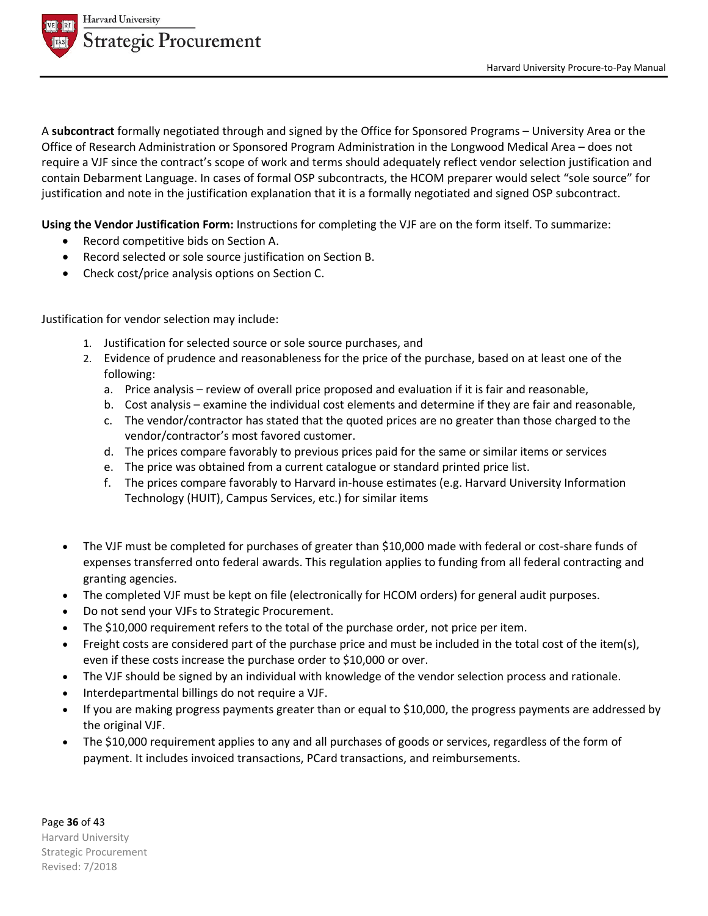

A **subcontract** formally negotiated through and signed by the Office for Sponsored Programs – University Area or the Office of Research Administration or Sponsored Program Administration in the Longwood Medical Area – does not require a VJF since the contract's scope of work and terms should adequately reflect vendor selection justification and contain Debarment Language. In cases of formal OSP subcontracts, the HCOM preparer would select "sole source" for justification and note in the justification explanation that it is a formally negotiated and signed OSP subcontract.

**Using the Vendor Justification Form:** Instructions for completing the VJF are on the form itself. To summarize:

- Record competitive bids on Section A.
- Record selected or sole source justification on Section B.
- Check cost/price analysis options on Section C.

Justification for vendor selection may include:

- 1. Justification for selected source or sole source purchases, and
- 2. Evidence of prudence and reasonableness for the price of the purchase, based on at least one of the following:
	- a. Price analysis review of overall price proposed and evaluation if it is fair and reasonable,
	- b. Cost analysis examine the individual cost elements and determine if they are fair and reasonable,
	- c. The vendor/contractor has stated that the quoted prices are no greater than those charged to the vendor/contractor's most favored customer.
	- d. The prices compare favorably to previous prices paid for the same or similar items or services
	- e. The price was obtained from a current catalogue or standard printed price list.
	- f. The prices compare favorably to Harvard in-house estimates (e.g. Harvard University Information Technology (HUIT), Campus Services, etc.) for similar items
- The VJF must be completed for purchases of greater than \$10,000 made with federal or cost-share funds of expenses transferred onto federal awards. This regulation applies to funding from all federal contracting and granting agencies.
- The completed VJF must be kept on file (electronically for HCOM orders) for general audit purposes.
- Do not send your VJFs to Strategic Procurement.
- The \$10,000 requirement refers to the total of the purchase order, not price per item.
- Freight costs are considered part of the purchase price and must be included in the total cost of the item(s), even if these costs increase the purchase order to \$10,000 or over.
- The VJF should be signed by an individual with knowledge of the vendor selection process and rationale.
- Interdepartmental billings do not require a VJF.
- If you are making progress payments greater than or equal to \$10,000, the progress payments are addressed by the original VJF.
- The \$10,000 requirement applies to any and all purchases of goods or services, regardless of the form of payment. It includes invoiced transactions, PCard transactions, and reimbursements.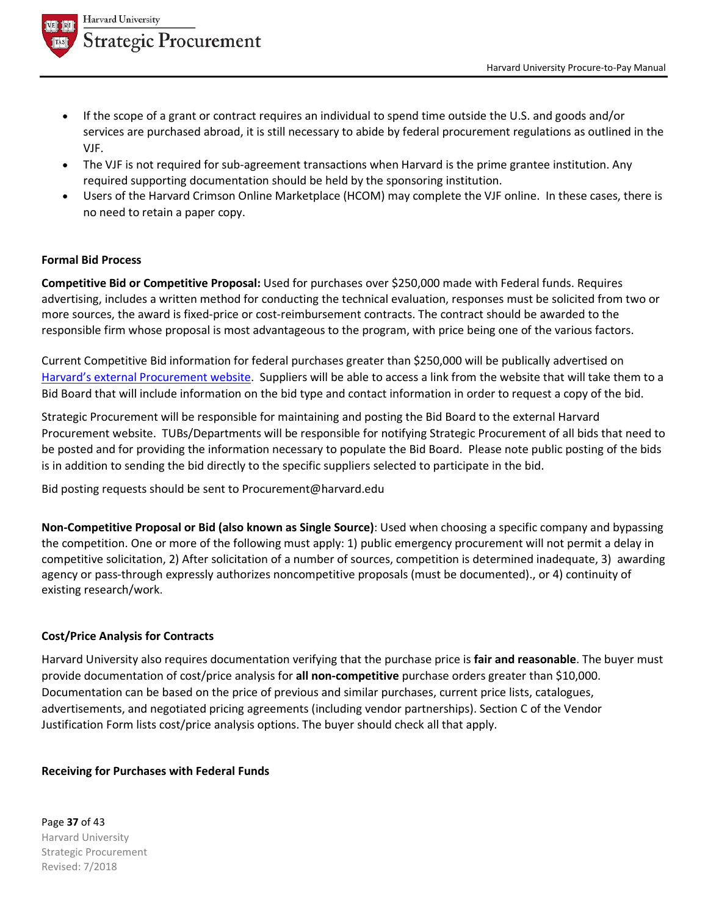

- If the scope of a grant or contract requires an individual to spend time outside the U.S. and goods and/or services are purchased abroad, it is still necessary to abide by federal procurement regulations as outlined in the VJF.
- The VJF is not required for sub-agreement transactions when Harvard is the prime grantee institution. Any required supporting documentation should be held by the sponsoring institution.
- Users of the Harvard Crimson Online Marketplace (HCOM) may complete the VJF online. In these cases, there is no need to retain a paper copy.

## **Formal Bid Process**

**Competitive Bid or Competitive Proposal:** Used for purchases over \$250,000 made with Federal funds. Requires advertising, includes a written method for conducting the technical evaluation, responses must be solicited from two or more sources, the award is fixed-price or cost-reimbursement contracts. The contract should be awarded to the responsible firm whose proposal is most advantageous to the program, with price being one of the various factors.

Current Competitive Bid information for federal purchases greater than \$250,000 will be publically advertised on Harvard's external Procurement website. Suppliers will be able to access a link from the website that will take them to a Bid Board that will include information on the bid type and contact information in order to request a copy of the bid.

Strategic Procurement will be responsible for maintaining and posting the Bid Board to the external Harvard Procurement website. TUBs/Departments will be responsible for notifying Strategic Procurement of all bids that need to be posted and for providing the information necessary to populate the Bid Board. Please note public posting of the bids is in addition to sending the bid directly to the specific suppliers selected to participate in the bid.

Bid posting requests should be sent to Procurement@harvard.edu

**Non-Competitive Proposal or Bid (also known as Single Source)**: Used when choosing a specific company and bypassing the competition. One or more of the following must apply: 1) public emergency procurement will not permit a delay in competitive solicitation, 2) After solicitation of a number of sources, competition is determined inadequate, 3) awarding agency or pass-through expressly authorizes noncompetitive proposals (must be documented)., or 4) continuity of existing research/work.

## **Cost/Price Analysis for Contracts**

Harvard University also requires documentation verifying that the purchase price is **fair and reasonable**. The buyer must provide documentation of cost/price analysis for **all non-competitive** purchase orders greater than \$10,000. Documentation can be based on the price of previous and similar purchases, current price lists, catalogues, advertisements, and negotiated pricing agreements (including vendor partnerships). Section C of the Vendor Justification Form lists cost/price analysis options. The buyer should check all that apply.

#### **Receiving for Purchases with Federal Funds**

Page **37** of 43 Harvard University Strategic Procurement Revised: 7/2018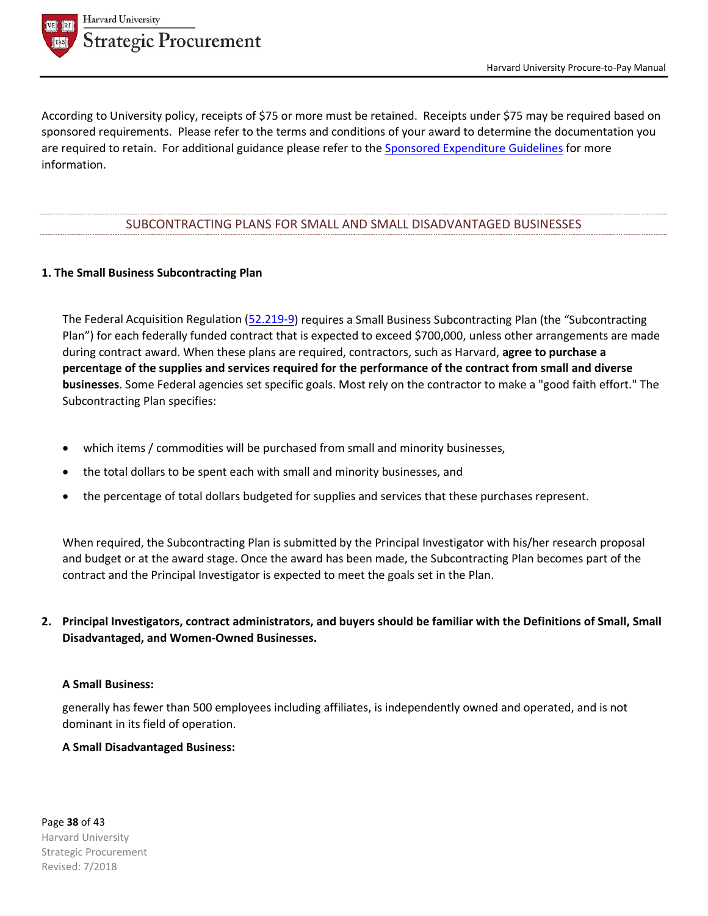

According to University policy, receipts of \$75 or more must be retained. Receipts under \$75 may be required based on sponsored requirements. Please refer to the terms and conditions of your award to determine the documentation you are required to retain. For additional guidance please refer to the Sponsored Expenditure Guidelines for more information.

#### SUBCONTRACTING PLANS FOR SMALL AND SMALL DISADVANTAGED BUSINESSES

#### **1. The Small Business Subcontracting Plan**

The Federal Acquisition Regulation (52.219-9) requires a Small Business Subcontracting Plan (the "Subcontracting Plan") for each federally funded contract that is expected to exceed \$700,000, unless other arrangements are made during contract award. When these plans are required, contractors, such as Harvard, **agree to purchase a percentage of the supplies and services required for the performance of the contract from small and diverse businesses**. Some Federal agencies set specific goals. Most rely on the contractor to make a "good faith effort." The Subcontracting Plan specifies:

- which items / commodities will be purchased from small and minority businesses,
- the total dollars to be spent each with small and minority businesses, and
- the percentage of total dollars budgeted for supplies and services that these purchases represent.

When required, the Subcontracting Plan is submitted by the Principal Investigator with his/her research proposal and budget or at the award stage. Once the award has been made, the Subcontracting Plan becomes part of the contract and the Principal Investigator is expected to meet the goals set in the Plan.

**2. Principal Investigators, contract administrators, and buyers should be familiar with the Definitions of Small, Small Disadvantaged, and Women-Owned Businesses.**

#### **A Small Business:**

generally has fewer than 500 employees including affiliates, is independently owned and operated, and is not dominant in its field of operation.

#### **A Small Disadvantaged Business:**

Page **38** of 43 Harvard University Strategic Procurement Revised: 7/2018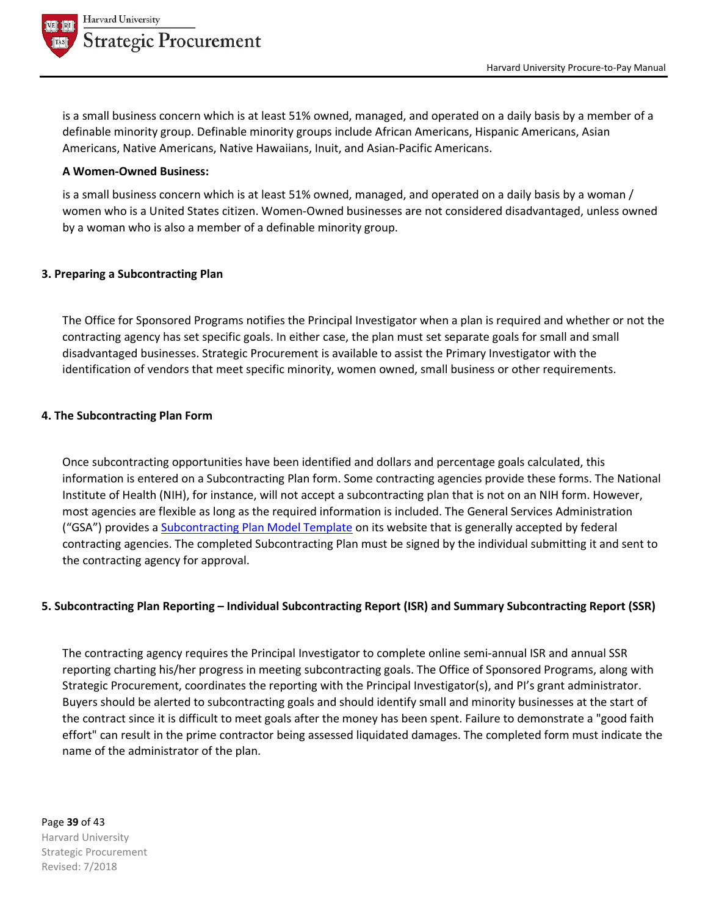

is a small business concern which is at least 51% owned, managed, and operated on a daily basis by a member of a definable minority group. Definable minority groups include African Americans, Hispanic Americans, Asian Americans, Native Americans, Native Hawaiians, Inuit, and Asian-Pacific Americans.

#### **A Women-Owned Business:**

is a small business concern which is at least 51% owned, managed, and operated on a daily basis by a woman / women who is a United States citizen. Women-Owned businesses are not considered disadvantaged, unless owned by a woman who is also a member of a definable minority group.

#### **3. Preparing a Subcontracting Plan**

The Office for Sponsored Programs notifies the Principal Investigator when a plan is required and whether or not the contracting agency has set specific goals. In either case, the plan must set separate goals for small and small disadvantaged businesses. Strategic Procurement is available to assist the Primary Investigator with the identification of vendors that meet specific minority, women owned, small business or other requirements.

#### **4. The Subcontracting Plan Form**

Once subcontracting opportunities have been identified and dollars and percentage goals calculated, this information is entered on a Subcontracting Plan form. Some contracting agencies provide these forms. The National Institute of Health (NIH), for instance, will not accept a subcontracting plan that is not on an NIH form. However, most agencies are flexible as long as the required information is included. The General Services Administration ("GSA") provides a Subcontracting Plan Model Template on its website that is generally accepted by federal contracting agencies. The completed Subcontracting Plan must be signed by the individual submitting it and sent to the contracting agency for approval.

#### **5. Subcontracting Plan Reporting – Individual Subcontracting Report (ISR) and Summary Subcontracting Report (SSR)**

The contracting agency requires the Principal Investigator to complete online semi-annual ISR and annual SSR reporting charting his/her progress in meeting subcontracting goals. The Office of Sponsored Programs, along with Strategic Procurement, coordinates the reporting with the Principal Investigator(s), and PI's grant administrator. Buyers should be alerted to subcontracting goals and should identify small and minority businesses at the start of the contract since it is difficult to meet goals after the money has been spent. Failure to demonstrate a "good faith effort" can result in the prime contractor being assessed liquidated damages. The completed form must indicate the name of the administrator of the plan.

## Page **39** of 43 Harvard University Strategic Procurement Revised: 7/2018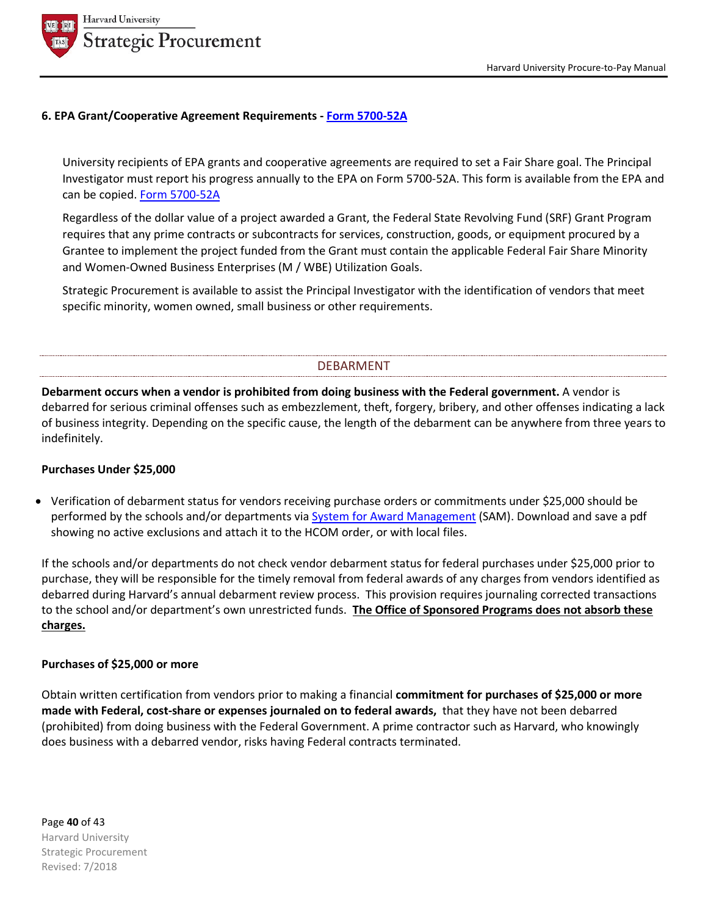

#### **6. EPA Grant/Cooperative Agreement Requirements - Form 5700-52A**

University recipients of EPA grants and cooperative agreements are required to set a Fair Share goal. The Principal Investigator must report his progress annually to the EPA on Form 5700-52A. This form is available from the EPA and can be copied. Form 5700-52A

Regardless of the dollar value of a project awarded a Grant, the Federal State Revolving Fund (SRF) Grant Program requires that any prime contracts or subcontracts for services, construction, goods, or equipment procured by a Grantee to implement the project funded from the Grant must contain the applicable Federal Fair Share Minority and Women-Owned Business Enterprises (M / WBE) Utilization Goals.

Strategic Procurement is available to assist the Principal Investigator with the identification of vendors that meet specific minority, women owned, small business or other requirements.

## DEBARMENT

**Debarment occurs when a vendor is prohibited from doing business with the Federal government.** A vendor is debarred for serious criminal offenses such as embezzlement, theft, forgery, bribery, and other offenses indicating a lack of business integrity. Depending on the specific cause, the length of the debarment can be anywhere from three years to indefinitely.

## **Purchases Under \$25,000**

• Verification of debarment status for vendors receiving purchase orders or commitments under \$25,000 should be performed by the schools and/or departments via System for Award Management (SAM). Download and save a pdf showing no active exclusions and attach it to the HCOM order, or with local files.

If the schools and/or departments do not check vendor debarment status for federal purchases under \$25,000 prior to purchase, they will be responsible for the timely removal from federal awards of any charges from vendors identified as debarred during Harvard's annual debarment review process. This provision requires journaling corrected transactions to the school and/or department's own unrestricted funds. **The Office of Sponsored Programs does not absorb these charges.**

#### **Purchases of \$25,000 or more**

Obtain written certification from vendors prior to making a financial **commitment for purchases of \$25,000 or more made with Federal, cost-share or expenses journaled on to federal awards,** that they have not been debarred (prohibited) from doing business with the Federal Government. A prime contractor such as Harvard, who knowingly does business with a debarred vendor, risks having Federal contracts terminated.

Page **40** of 43 Harvard University Strategic Procurement Revised: 7/2018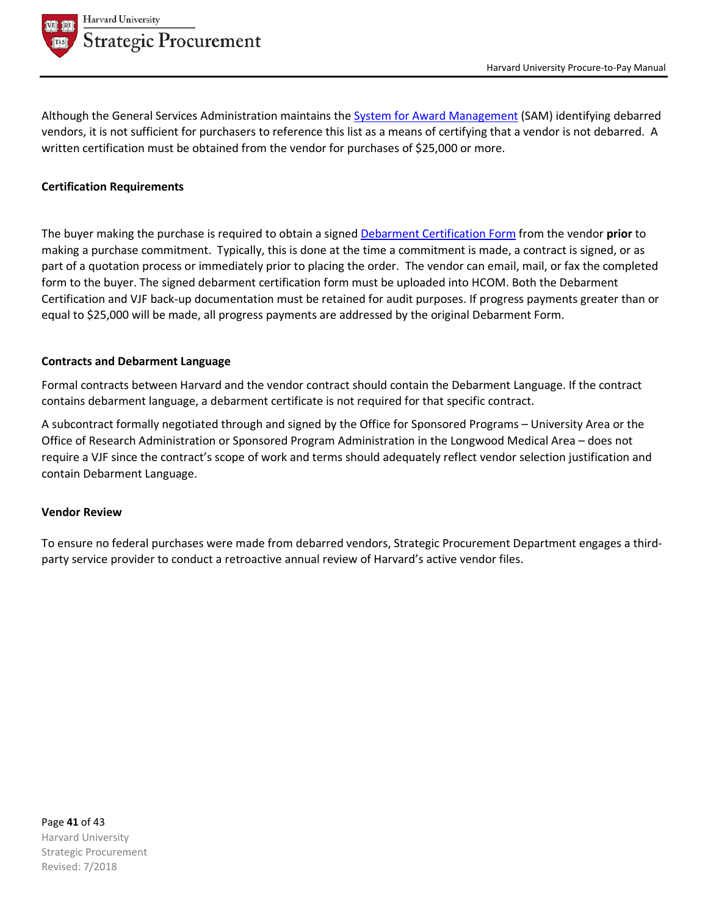

Although the General Services Administration maintains the System for Award Management (SAM) identifying debarred vendors, it is not sufficient for purchasers to reference this list as a means of certifying that a vendor is not debarred. A written certification must be obtained from the vendor for purchases of \$25,000 or more.

#### **Certification Requirements**

The buyer making the purchase is required to obtain a signed Debarment Certification Form from the vendor **prior** to making a purchase commitment. Typically, this is done at the time a commitment is made, a contract is signed, or as part of a quotation process or immediately prior to placing the order. The vendor can email, mail, or fax the completed form to the buyer. The signed debarment certification form must be uploaded into HCOM. Both the Debarment Certification and VJF back-up documentation must be retained for audit purposes. If progress payments greater than or equal to \$25,000 will be made, all progress payments are addressed by the original Debarment Form.

#### **Contracts and Debarment Language**

Formal contracts between Harvard and the vendor contract should contain the Debarment Language. If the contract contains debarment language, a debarment certificate is not required for that specific contract.

A subcontract formally negotiated through and signed by the Office for Sponsored Programs – University Area or the Office of Research Administration or Sponsored Program Administration in the Longwood Medical Area – does not require a VJF since the contract's scope of work and terms should adequately reflect vendor selection justification and contain Debarment Language.

#### **Vendor Review**

To ensure no federal purchases were made from debarred vendors, Strategic Procurement Department engages a thirdparty service provider to conduct a retroactive annual review of Harvard's active vendor files.

Page **41** of 43 Harvard University Strategic Procurement Revised: 7/2018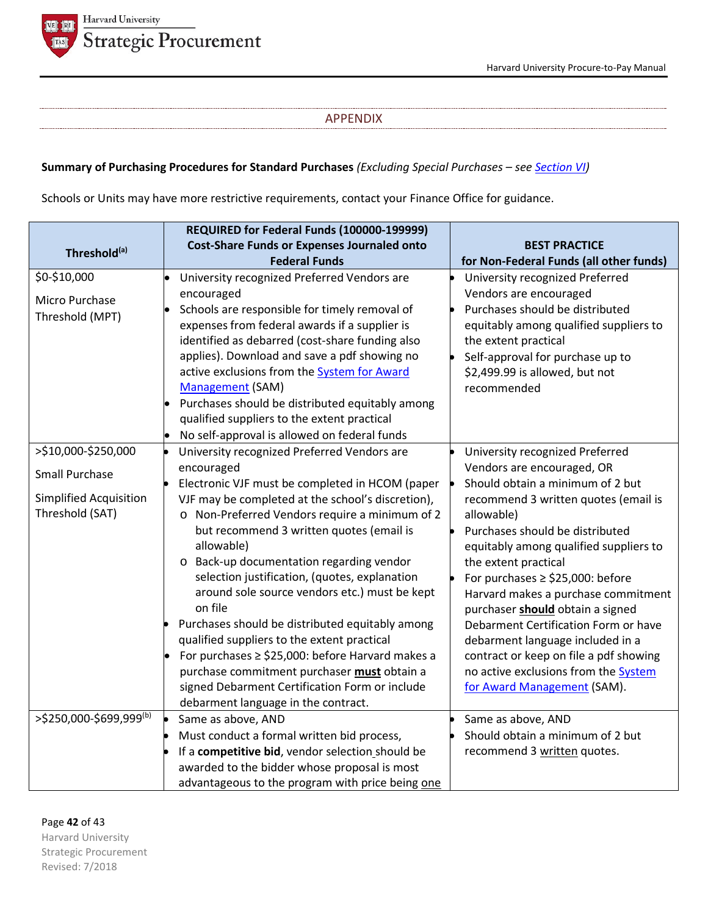

#### APPENDIX

# **Summary of Purchasing Procedures for Standard Purchases** *(Excluding Special Purchases – see Section VI)*

Schools or Units may have more restrictive requirements, contact your Finance Office for guidance.

|                               | REQUIRED for Federal Funds (100000-199999)                                                     |                                                                            |
|-------------------------------|------------------------------------------------------------------------------------------------|----------------------------------------------------------------------------|
| Threshold <sup>(a)</sup>      | <b>Cost-Share Funds or Expenses Journaled onto</b>                                             | <b>BEST PRACTICE</b>                                                       |
| \$0-\$10,000                  | <b>Federal Funds</b>                                                                           | for Non-Federal Funds (all other funds)                                    |
|                               | University recognized Preferred Vendors are                                                    | University recognized Preferred<br>Vendors are encouraged                  |
| Micro Purchase                | encouraged<br>Schools are responsible for timely removal of                                    | Purchases should be distributed                                            |
| Threshold (MPT)               | expenses from federal awards if a supplier is                                                  | equitably among qualified suppliers to                                     |
|                               | identified as debarred (cost-share funding also                                                | the extent practical                                                       |
|                               | applies). Download and save a pdf showing no                                                   | Self-approval for purchase up to                                           |
|                               | active exclusions from the <b>System for Award</b>                                             | \$2,499.99 is allowed, but not                                             |
|                               | Management (SAM)                                                                               | recommended                                                                |
|                               | Purchases should be distributed equitably among                                                |                                                                            |
|                               | qualified suppliers to the extent practical                                                    |                                                                            |
|                               | No self-approval is allowed on federal funds                                                   |                                                                            |
| >\$10,000-\$250,000           | University recognized Preferred Vendors are                                                    | University recognized Preferred                                            |
| <b>Small Purchase</b>         | encouraged                                                                                     | Vendors are encouraged, OR                                                 |
|                               | Electronic VJF must be completed in HCOM (paper                                                | Should obtain a minimum of 2 but                                           |
| <b>Simplified Acquisition</b> | VJF may be completed at the school's discretion),                                              | recommend 3 written quotes (email is                                       |
| Threshold (SAT)               | o Non-Preferred Vendors require a minimum of 2                                                 | allowable)                                                                 |
|                               | but recommend 3 written quotes (email is                                                       | Purchases should be distributed                                            |
|                               | allowable)                                                                                     | equitably among qualified suppliers to                                     |
|                               | o Back-up documentation regarding vendor                                                       | the extent practical                                                       |
|                               | selection justification, (quotes, explanation                                                  | For purchases $\ge$ \$25,000: before                                       |
|                               | around sole source vendors etc.) must be kept<br>on file                                       | Harvard makes a purchase commitment                                        |
|                               |                                                                                                | purchaser should obtain a signed                                           |
|                               | Purchases should be distributed equitably among<br>qualified suppliers to the extent practical | Debarment Certification Form or have                                       |
|                               | For purchases $\ge$ \$25,000: before Harvard makes a                                           | debarment language included in a<br>contract or keep on file a pdf showing |
|                               | purchase commitment purchaser must obtain a                                                    | no active exclusions from the System                                       |
|                               | signed Debarment Certification Form or include                                                 | for Award Management (SAM).                                                |
|                               | debarment language in the contract.                                                            |                                                                            |
| >\$250,000-\$699,999(b)       | Same as above, AND                                                                             | Same as above, AND                                                         |
|                               | Must conduct a formal written bid process,                                                     | Should obtain a minimum of 2 but                                           |
|                               | If a competitive bid, vendor selection should be                                               | recommend 3 written quotes.                                                |
|                               | awarded to the bidder whose proposal is most                                                   |                                                                            |
|                               | advantageous to the program with price being one                                               |                                                                            |

Page **42** of 43 Harvard University Strategic Procurement

Revised: 7/2018